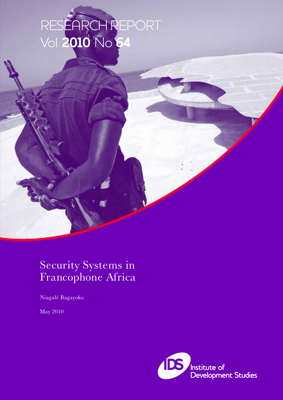# RESEARCH REPORT Vol **2010** No **64**

## Security Systems in Francophone Africa

Niagalé Bagayoko

May 2010

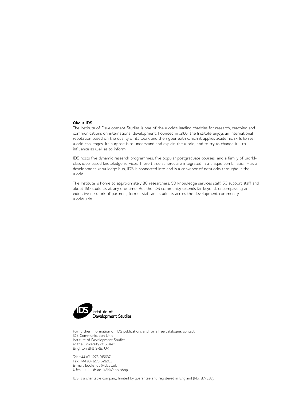#### **About IDS**

The Institute of Development Studies is one of the world's leading charities for research, teaching and communications on international development. Founded in 1966, the Institute enjoys an international reputation based on the quality of its work and the rigour with which it applies academic skills to real world challenges. Its purpose is to understand and explain the world, and to try to change it – to influence as well as to inform.

IDS hosts five dynamic research programmes, five popular postgraduate courses, and a family of worldclass web-based knowledge services. These three spheres are integrated in a unique combination – as a development knowledge hub, IDS is connected into and is a convenor of networks throughout the world.

The Institute is home to approximately 80 researchers, 50 knowledge services staff, 50 support staff and about 150 students at any one time. But the IDS community extends far beyond, encompassing an extensive network of partners, former staff and students across the development community worldwide.



For further information on IDS publications and for a free catalogue, contact: IDS Communication Unit Institute of Development Studies at the University of Sussex Brighton BN1 9RE, UK

Tel: +44 (0) 1273 915637 Fax: +44 (0) 1273 621202 E-mail: bookshop@ids.ac.uk Web: www.ids.ac.uk/ids/bookshop

IDS is a charitable company, limited by guarantee and registered in England (No. 877338).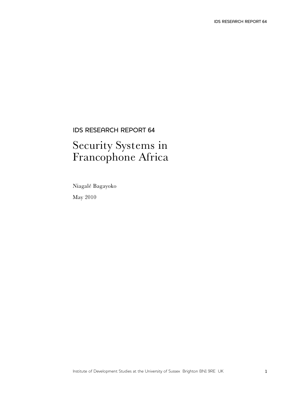#### IDS RESEARCH REPORT 64

## Security Systems in Francophone Africa

Niagalé Bagayoko May 2010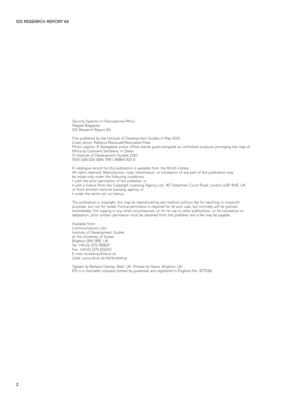Security Systems in Francophone Africa Niagalé Bagayoko IDS Research Report 64

First published by the Institute of Development Studies in May 2010 Cover photo: Rebecca Blackwell/Associated Press Photo caption: A Senegalese police officer stands guard alongside an unfinished sculpture portraying the map of Africa by Ousmane Sembene, in Dakar. © Institute of Development Studies 2010 ISSN 0141-1314 ISBN 978 1 85864 922 6

A catalogue record for this publication is available from the British Library. All rights reserved. Reproduction, copy, transmission, or translation of any part of this publication may be made only under the following conditions: • with the prior permission of the publisher; or • with a licence from the Copyright Licensing Agency Ltd., 90 Tottenham Court Road, London W1P 9HE, UK, or from another national licensing agency; or

• under the terms set out below.

This publication is copyright, but may be reproduced by any method without fee for teaching or nonprofit purposes, but not for resale. Formal permission is required for all such uses, but normally will be granted immediately. For copying in any other circumstances, or for re-use in other publications, or for translation or adaptation, prior written permission must be obtained from the publisher and a fee may be payable.

Available from: Communications Unit Institute of Development Studies at the University of Sussex Brighton BN1 9RE, UK Tel: +44 (0) 1273 915637 Fax: +44 (0) 1273 621202 E-mail: bookshop@ids.ac.uk Web: www.ids.ac.uk/ids/bookshop

Typeset by Barbara Cheney, Bath, UK. Printed by Nexus, Brighton UK. IDS is a charitable company limited by guarantee and registered in England (No. 877338).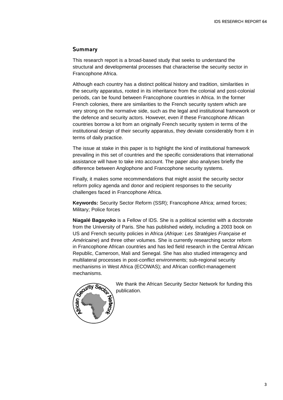#### **Summary**

This research report is a broad-based study that seeks to understand the structural and developmental processes that characterise the security sector in Francophone Africa.

Although each country has a distinct political history and tradition, similarities in the security apparatus, rooted in its inheritance from the colonial and post-colonial periods, can be found between Francophone countries in Africa. In the former French colonies, there are similarities to the French security system which are very strong on the normative side, such as the legal and institutional framework or the defence and security actors. However, even if these Francophone African countries borrow a lot from an originally French security system in terms of the institutional design of their security apparatus, they deviate considerably from it in terms of daily practice.

The issue at stake in this paper is to highlight the kind of institutional framework prevailing in this set of countries and the specific considerations that international assistance will have to take into account. The paper also analyses briefly the difference between Anglophone and Francophone security systems.

Finally, it makes some recommendations that might assist the security sector reform policy agenda and donor and recipient responses to the security challenges faced in Francophone Africa.

**Keywords:** Security Sector Reform (SSR); Francophone Africa; armed forces; Military; Police forces

**Niagalé Bagayoko** is a Fellow of IDS. She is a political scientist with a doctorate from the University of Paris. She has published widely, including a 2003 book on US and French security policies in Africa (*Afrique: Les Stratégies Française et Américaine*) and three other volumes. She is currently researching sector reform in Francophone African countries and has led field research in the Central African Republic, Cameroon, Mali and Senegal. She has also studied interagency and multilateral processes in post-conflict environments; sub-regional security mechanisms in West Africa (ECOWAS); and African conflict-management mechanisms.



We thank the African Security Sector Network for funding this publication.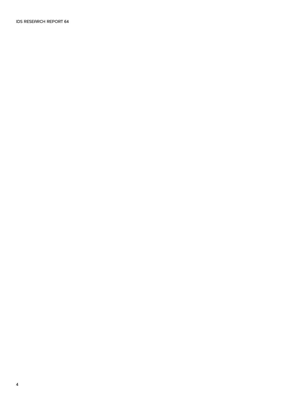IDS RESEARCH REPORT 64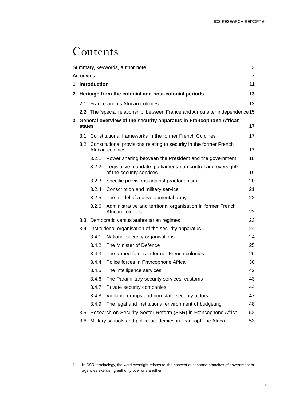## Contents

|              |                                                                                   |                                                                                             | Summary, keywords, author note                                                                      | 3              |  |  |
|--------------|-----------------------------------------------------------------------------------|---------------------------------------------------------------------------------------------|-----------------------------------------------------------------------------------------------------|----------------|--|--|
|              | Acronyms                                                                          |                                                                                             |                                                                                                     | $\overline{7}$ |  |  |
| 1            | <b>Introduction</b><br>11                                                         |                                                                                             |                                                                                                     |                |  |  |
| $\mathbf{2}$ |                                                                                   | Heritage from the colonial and post-colonial periods                                        |                                                                                                     |                |  |  |
|              |                                                                                   |                                                                                             | 2.1 France and its African colonies                                                                 | 13             |  |  |
|              |                                                                                   |                                                                                             | 2.2 The 'special relationship' between France and Africa after independence 15                      |                |  |  |
| 3            | General overview of the security apparatus in Francophone African<br>17<br>states |                                                                                             |                                                                                                     |                |  |  |
|              |                                                                                   |                                                                                             | 3.1 Constitutional frameworks in the former French Colonies                                         | 17             |  |  |
|              |                                                                                   | 3.2 Constitutional provisions relating to security in the former French<br>African colonies |                                                                                                     |                |  |  |
|              |                                                                                   | 3.2.1                                                                                       | Power sharing between the President and the government                                              | 18             |  |  |
|              |                                                                                   | 3.2.2                                                                                       | Legislative mandate: parliamentarian control and oversight <sup>1</sup><br>of the security services | 19             |  |  |
|              |                                                                                   |                                                                                             | 3.2.3 Specific provisions against praetorianism                                                     | 20             |  |  |
|              |                                                                                   |                                                                                             | 3.2.4 Conscription and military service                                                             | 21             |  |  |
|              |                                                                                   |                                                                                             | 3.2.5 The model of a developmental army                                                             | 22             |  |  |
|              |                                                                                   | 3.2.6                                                                                       | Administrative and territorial organisation in former French<br>African colonies                    | 22             |  |  |
|              |                                                                                   |                                                                                             | 3.3 Democratic versus authoritarian regimes                                                         | 23             |  |  |
|              |                                                                                   |                                                                                             | 3.4 Institutional organisation of the security apparatus                                            | 24             |  |  |
|              |                                                                                   | 3.4.1                                                                                       | National security organisations                                                                     | 24             |  |  |
|              |                                                                                   | 3.4.2                                                                                       | The Minister of Defence                                                                             | 25             |  |  |
|              |                                                                                   | 3.4.3                                                                                       | The armed forces in former French colonies                                                          | 26             |  |  |
|              |                                                                                   | 3.4.4                                                                                       | Police forces in Francophone Africa                                                                 | 30             |  |  |
|              |                                                                                   | 3.4.5                                                                                       | The intelligence services                                                                           | 42             |  |  |
|              |                                                                                   | 3.4.6                                                                                       | The Paramilitary security services: customs                                                         | 43             |  |  |
|              |                                                                                   | 3.4.7                                                                                       | Private security companies                                                                          | 44             |  |  |
|              |                                                                                   | 3.4.8                                                                                       | Vigilante groups and non-state security actors                                                      | 47             |  |  |
|              |                                                                                   | 3.4.9                                                                                       | The legal and institutional environment of budgeting                                                | 48             |  |  |
|              | 3.5                                                                               | Research on Security Sector Reform (SSR) in Francophone Africa                              |                                                                                                     | 52<br>53       |  |  |
|              | 3.6                                                                               | Military schools and police academies in Francophone Africa                                 |                                                                                                     |                |  |  |

<sup>1</sup> In SSR terminology, the word oversight relates to 'the concept of separate branches of government or agencies exercising authority over one another'.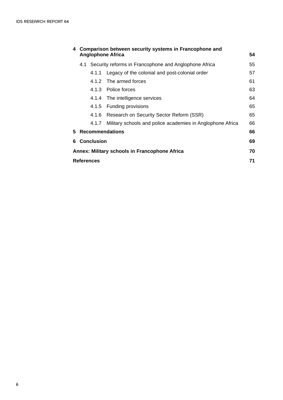| 4                                             | Comparison between security systems in Francophone and    |       |                                                            |    |  |
|-----------------------------------------------|-----------------------------------------------------------|-------|------------------------------------------------------------|----|--|
|                                               | <b>Anglophone Africa</b>                                  |       |                                                            | 54 |  |
|                                               | 4.1 Security reforms in Francophone and Anglophone Africa |       |                                                            | 55 |  |
|                                               |                                                           | 4.1.1 | Legacy of the colonial and post-colonial order             | 57 |  |
|                                               |                                                           |       | 4.1.2 The armed forces                                     | 61 |  |
|                                               |                                                           |       | 4.1.3 Police forces                                        | 63 |  |
|                                               |                                                           |       | 4.1.4 The intelligence services                            | 64 |  |
|                                               |                                                           | 4.1.5 | Funding provisions                                         | 65 |  |
|                                               |                                                           | 4.1.6 | Research on Security Sector Reform (SSR)                   | 65 |  |
|                                               |                                                           | 4.1.7 | Military schools and police academies in Anglophone Africa | 66 |  |
| <b>Recommendations</b><br>5.                  |                                                           |       | 66                                                         |    |  |
| <b>Conclusion</b><br>6                        |                                                           |       | 69                                                         |    |  |
| Annex: Military schools in Francophone Africa |                                                           |       | 70                                                         |    |  |
| 71<br><b>References</b>                       |                                                           |       |                                                            |    |  |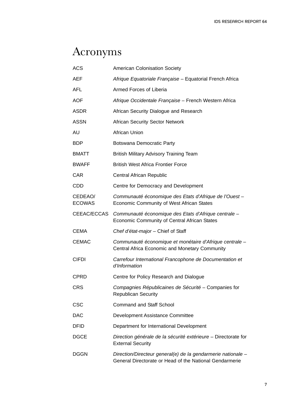## Acronyms

| ACS                      | American Colonisation Society                                                                                           |
|--------------------------|-------------------------------------------------------------------------------------------------------------------------|
| <b>AEF</b>               | Afrique Equatoriale Française - Equatorial French Africa                                                                |
| <b>AFL</b>               | Armed Forces of Liberia                                                                                                 |
| <b>AOF</b>               | Afrique Occidentale Française - French Western Africa                                                                   |
| <b>ASDR</b>              | African Security Dialogue and Research                                                                                  |
| <b>ASSN</b>              | <b>African Security Sector Network</b>                                                                                  |
| AU                       | African Union                                                                                                           |
| <b>BDP</b>               | Botswana Democratic Party                                                                                               |
| <b>BMATT</b>             | <b>British Military Advisory Training Team</b>                                                                          |
| <b>BWAFF</b>             | <b>British West Africa Frontier Force</b>                                                                               |
| <b>CAR</b>               | <b>Central African Republic</b>                                                                                         |
| CDD                      | Centre for Democracy and Development                                                                                    |
| CEDEAO/<br><b>ECOWAS</b> | Communauté économique des Etats d'Afrique de l'Ouest-<br>Economic Community of West African States                      |
| CEEAC/ECCAS              | Communauté économique des Etats d'Afrique centrale -<br>Economic Community of Central African States                    |
| <b>CEMA</b>              | Chef d'état-major - Chief of Staff                                                                                      |
| <b>CEMAC</b>             | Communauté économique et monétaire d'Afrique centrale -<br>Central Africa Economic and Monetary Community               |
| <b>CIFDI</b>             | Carrefour International Francophone de Documentation et<br>d'Information                                                |
| <b>CPRD</b>              | Centre for Policy Research and Dialogue                                                                                 |
| <b>CRS</b>               | Compagnies Républicaines de Sécurité – Companies for<br><b>Republican Security</b>                                      |
| <b>CSC</b>               | <b>Command and Staff School</b>                                                                                         |
| <b>DAC</b>               | Development Assistance Committee                                                                                        |
| <b>DFID</b>              | Department for International Development                                                                                |
| <b>DGCE</b>              | Direction générale de la sécurité extérieure – Directorate for<br><b>External Security</b>                              |
| <b>DGGN</b>              | Direction/Directeur general(e) de la gendarmerie nationale -<br>General Directorate or Head of the National Gendarmerie |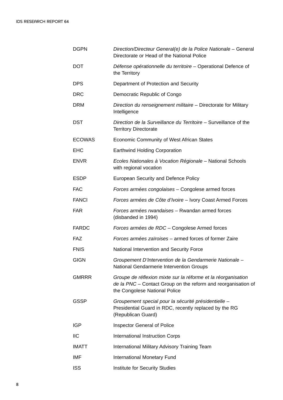| <b>DGPN</b>   | Direction/Directeur General(e) de la Police Nationale - General<br>Directorate or Head of the National Police                                                   |
|---------------|-----------------------------------------------------------------------------------------------------------------------------------------------------------------|
| <b>DOT</b>    | Défense opérationnelle du territoire - Operational Defence of<br>the Territory                                                                                  |
| <b>DPS</b>    | Department of Protection and Security                                                                                                                           |
| <b>DRC</b>    | Democratic Republic of Congo                                                                                                                                    |
| <b>DRM</b>    | Direction du renseignement militaire - Directorate for Military<br>Intelligence                                                                                 |
| <b>DST</b>    | Direction de la Surveillance du Territoire – Surveillance of the<br><b>Territory Directorate</b>                                                                |
| <b>ECOWAS</b> | Economic Community of West African States                                                                                                                       |
| <b>EHC</b>    | <b>Earthwind Holding Corporation</b>                                                                                                                            |
| <b>ENVR</b>   | Ecoles Nationales à Vocation Régionale - National Schools<br>with regional vocation                                                                             |
| <b>ESDP</b>   | <b>European Security and Defence Policy</b>                                                                                                                     |
| <b>FAC</b>    | Forces armées congolaises - Congolese armed forces                                                                                                              |
| <b>FANCI</b>  | Forces armées de Côte d'Ivoire - Ivory Coast Armed Forces                                                                                                       |
| <b>FAR</b>    | Forces armées rwandaises - Rwandan armed forces<br>(disbanded in 1994)                                                                                          |
| <b>FARDC</b>  | Forces armées de RDC - Congolese Armed forces                                                                                                                   |
| <b>FAZ</b>    | Forces armées zaïroises – armed forces of former Zaire                                                                                                          |
| <b>FNIS</b>   | National Intervention and Security Force                                                                                                                        |
| <b>GIGN</b>   | Groupement D'Intervention de la Gendarmerie Nationale -<br>National Gendarmerie Intervention Groups                                                             |
| <b>GMRRR</b>  | Groupe de réflexion mixte sur la réforme et la réorganisation<br>de la PNC - Contact Group on the reform and reorganisation of<br>the Congolese National Police |
| <b>GSSP</b>   | Groupement special pour la sécurité présidentielle -<br>Presidential Guard in RDC, recently replaced by the RG<br>(Republican Guard)                            |
| <b>IGP</b>    | Inspector General of Police                                                                                                                                     |
| <b>IIC</b>    | International Instruction Corps                                                                                                                                 |
| <b>IMATT</b>  | International Military Advisory Training Team                                                                                                                   |
| <b>IMF</b>    | International Monetary Fund                                                                                                                                     |
| <b>ISS</b>    | Institute for Security Studies                                                                                                                                  |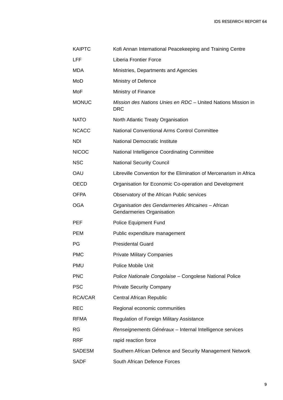| <b>KAIPTC</b>  | Kofi Annan International Peacekeeping and Training Centre                       |
|----------------|---------------------------------------------------------------------------------|
| <b>LFF</b>     | Liberia Frontier Force                                                          |
| <b>MDA</b>     | Ministries, Departments and Agencies                                            |
| MoD            | Ministry of Defence                                                             |
| MoF            | Ministry of Finance                                                             |
| <b>MONUC</b>   | Mission des Nations Unies en RDC - United Nations Mission in<br><b>DRC</b>      |
| <b>NATO</b>    | North Atlantic Treaty Organisation                                              |
| <b>NCACC</b>   | <b>National Conventional Arms Control Committee</b>                             |
| <b>NDI</b>     | <b>National Democratic Institute</b>                                            |
| <b>NICOC</b>   | National Intelligence Coordinating Committee                                    |
| <b>NSC</b>     | <b>National Security Council</b>                                                |
| OAU            | Libreville Convention for the Elimination of Mercenarism in Africa              |
| <b>OECD</b>    | Organisation for Economic Co-operation and Development                          |
| <b>OFPA</b>    | Observatory of the African Public services                                      |
| <b>OGA</b>     | Organisation des Gendarmeries Africaines - African<br>Gendarmeries Organisation |
| <b>PEF</b>     | Police Equipment Fund                                                           |
| <b>PEM</b>     | Public expenditure management                                                   |
| PG             | <b>Presidental Guard</b>                                                        |
| <b>PMC</b>     | <b>Private Military Companies</b>                                               |
| <b>PMU</b>     | Police Mobile Unit                                                              |
| <b>PNC</b>     | Police Nationale Congolaise - Congolese National Police                         |
| <b>PSC</b>     | <b>Private Security Company</b>                                                 |
| <b>RCA/CAR</b> | <b>Central African Republic</b>                                                 |
| <b>REC</b>     | Regional economic communities                                                   |
| <b>RFMA</b>    | Regulation of Foreign Military Assistance                                       |
| RG             | Renseignements Généraux - Internal Intelligence services                        |
| <b>RRF</b>     | rapid reaction force                                                            |
| <b>SADESM</b>  | Southern African Defence and Security Management Network                        |
| <b>SADF</b>    | South African Defence Forces                                                    |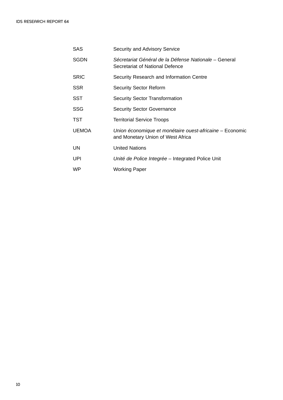| <b>SAS</b>   | Security and Advisory Service                                                                 |
|--------------|-----------------------------------------------------------------------------------------------|
| <b>SGDN</b>  | Sécretariat Général de la Défense Nationale – General<br>Secretariat of National Defence      |
| <b>SRIC</b>  | Security Research and Information Centre                                                      |
| <b>SSR</b>   | <b>Security Sector Reform</b>                                                                 |
| SST          | <b>Security Sector Transformation</b>                                                         |
| <b>SSG</b>   | <b>Security Sector Governance</b>                                                             |
| TST          | <b>Territorial Service Troops</b>                                                             |
| <b>UEMOA</b> | Union économique et monétaire ouest-africaine - Economic<br>and Monetary Union of West Africa |
| UN           | <b>United Nations</b>                                                                         |
| UPI          | Unité de Police Integrée – Integrated Police Unit                                             |
| <b>WP</b>    | <b>Working Paper</b>                                                                          |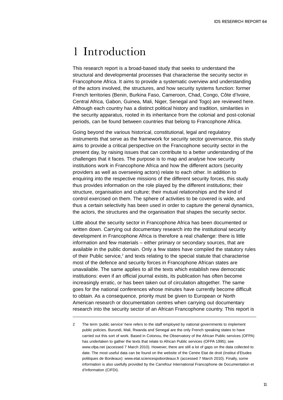### 1 Introduction

This research report is a broad-based study that seeks to understand the structural and developmental processes that characterise the security sector in Francophone Africa. It aims to provide a systematic overview and understanding of the actors involved, the structures, and how security systems function: former French territories (Benin, Burkina Faso, Cameroon, Chad, Congo, Côte d'Ivoire, Central Africa, Gabon, Guinea, Mali, Niger, Senegal and Togo) are reviewed here. Although each country has a distinct political history and tradition, similarities in the security apparatus, rooted in its inheritance from the colonial and post-colonial periods, can be found between countries that belong to Francophone Africa.

Going beyond the various historical, constitutional, legal and regulatory instruments that serve as the framework for security sector governance, this study aims to provide a critical perspective on the Francophone security sector in the present day, by raising issues that can contribute to a better understanding of the challenges that it faces. The purpose is to map and analyse how security institutions work in Francophone Africa and how the different actors (security providers as well as overseeing actors) relate to each other. In addition to enquiring into the respective missions of the different security forces, this study thus provides information on the role played by the different institutions; their structure, organisation and culture; their mutual relationships and the kind of control exercised on them. The sphere of activities to be covered is wide, and thus a certain selectivity has been used in order to capture the general dynamics, the actors, the structures and the organisation that shapes the security sector.

Little about the security sector in Francophone Africa has been documented or written down. Carrying out documentary research into the institutional security development in Francophone Africa is therefore a real challenge: there is little information and few materials – either primary or secondary sources, that are available in the public domain. Only a few states have compiled the statutory rules of their Public service, $2$  and texts relating to the special statute that characterise most of the defence and security forces in Francophone African states are unavailable. The same applies to all the texts which establish new democratic institutions: even if an official journal exists, its publication has often become increasingly erratic, or has been taken out of circulation altogether. The same goes for the national conferences whose minutes have currently become difficult to obtain. As a consequence, priority must be given to European or North American research or documentation centres when carrying out documentary research into the security sector of an African Francophone country. This report is

<sup>2</sup> The term 'public service' here refers to the staff employed by national governments to implement public policies. Burundi, Mali, Rwanda and Senegal are the only French speaking states to have carried out this sort of work. Based in Cotonou, the Observatory of the African Public services (OFPA) has undertaken to gather the texts that relate to African Public services (OFPA 1995); see www.ofpa.net (accessed 7 March 2010). However, there are still a lot of gaps on the data collected to date. The most useful data can be found on the website of the Centre Etat de droit (Institut d'Etudes politiques de Bordeaux): www.etat.sciencespobordeaux.fr (accessed 7 March 2010). Finally, some information is also usefully provided by the Carrefour International Francophone de Documentation et d'Information (CIFDI).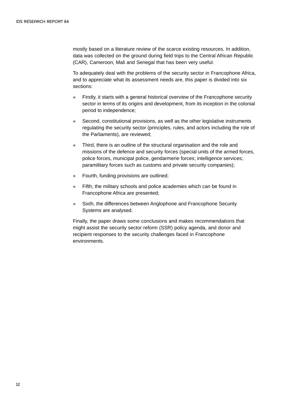mostly based on a literature review of the scarce existing resources. In addition, data was collected on the ground during field trips to the Central African Republic (CAR), Cameroon, Mali and Senegal that has been very useful.

To adequately deal with the problems of the security sector in Francophone Africa, and to appreciate what its assessment needs are, this paper is divided into six sections:

- $\bullet$  Firstly, it starts with a general historical overview of the Francophone security sector in terms of its origins and development, from its inception in the colonial period to independence;
- $\bullet$  Second, constitutional provisions, as well as the other legislative instruments regulating the security sector (principles, rules, and actors including the role of the Parliaments), are reviewed;
- Third, there is an outline of the structural organisation and the role and missions of the defence and security forces (special units of the armed forces, police forces, municipal police, gendarmerie forces; intelligence services; paramilitary forces such as customs and private security companies);
- $\bullet$  Fourth, funding provisions are outlined;
- $\bullet$  Fifth, the military schools and police academies which can be found in Francophone Africa are presented;
- Sixth, the differences between Anglophone and Francophone Security Systems are analysed.

Finally, the paper draws some conclusions and makes recommendations that might assist the security sector reform (SSR) policy agenda, and donor and recipient responses to the security challenges faced in Francophone environments.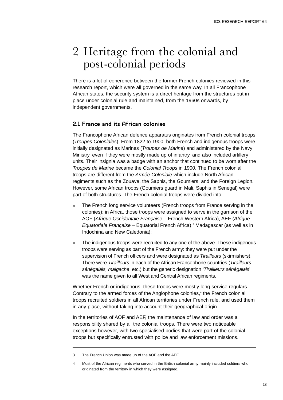## 2 Heritage from the colonial and post-colonial periods

There is a lot of coherence between the former French colonies reviewed in this research report, which were all governed in the same way. In all Francophone African states, the security system is a direct heritage from the structures put in place under colonial rule and maintained, from the 1960s onwards, by independent governments.

#### **2.1 France and its African colonies**

The Francophone African defence apparatus originates from French colonial troops (*Troupes Coloniales*). From 1822 to 1900, both French and indigenous troops were initially designated as Marines (*Troupes de Marine*) and administered by the Navy Ministry, even if they were mostly made up of infantry, and also included artillery units. Their insignia was a badge with an anchor that continued to be worn after the *Troupes de Marine* became the *Colonial Troops* in 1900. The French colonial troops are different from the *Armée Coloniale* which include North African regiments such as the Zouave, the Saphis, the Goumiers, and the Foreign Legion. However, some African troops (Goumiers guard in Mali, Saphis in Senegal) were part of both structures. The French colonial troops were divided into:

- The French long service volunteers (French troops from France serving in the colonies): in Africa, those troops were assigned to serve in the garrison of the AOF (*Afrique Occidentale Française* – French Western Africa), AEF (*Afrique Equatoriale Française* – Equatorial French Africa),<sup>3</sup> Madagascar (as well as in Indochina and New Caledonia);
- $\bullet$  The indigenous troops were recruited to any one of the above. These indigenous troops were serving as part of the French army: they were put under the supervision of French officers and were designated as *Tirailleurs* (skirmishers). There were *Tirailleurs* in each of the African Francophone countries (*Tirailleurs sénégalais, malgache*, etc.) but the generic designation '*Tirailleurs sénégalais*' was the name given to all West and Central African regiments.

Whether French or indigenous, these troops were mostly long service regulars. Contrary to the armed forces of the Anglophone colonies,<sup>4</sup> the French colonial troops recruited soldiers in all African territories under French rule, and used them in any place, without taking into account their geographical origin.

In the territories of AOF and AEF, the maintenance of law and order was a responsibility shared by all the colonial troops. There were two noticeable exceptions however, with two specialised bodies that were part of the colonial troops but specifically entrusted with police and law enforcement missions.

<sup>3</sup> The French Union was made up of the AOF and the AEF.

<sup>4</sup> Most of the African regiments who served in the British colonial army mainly included soldiers who originated from the territory in which they were assigned.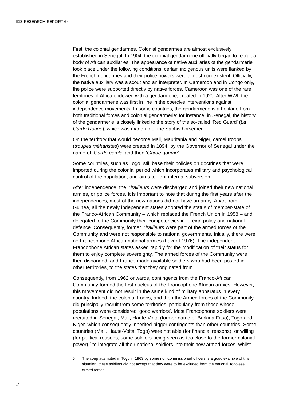First, the colonial gendarmes. Colonial gendarmes are almost exclusively established in Senegal. In 1904, the colonial gendarmerie officially began to recruit a body of African auxiliaries. The appearance of native auxiliaries of the gendarmerie took place under the following conditions: certain indigenous units were flanked by the French gendarmes and their police powers were almost non-existent. Officially, the native auxiliary was a scout and an interpreter. In Cameroon and in Congo only, the police were supported directly by native forces. Cameroon was one of the rare territories of Africa endowed with a gendarmerie, created in 1920. After WWI, the colonial gendarmerie was first in line in the coercive interventions against independence movements. In some countries, the gendarmerie is a heritage from both traditional forces and colonial gendarmerie: for instance, in Senegal, the history of the gendarmerie is closely linked to the story of the so-called 'Red Guard' (*La Garde Rouge*), which was made up of the Saphis horsemen.

On the territory that would become Mali, Mauritania and Niger, camel troops (*troupes méharistes*) were created in 1894, by the Governor of Senegal under the name of '*Garde cercle*' and then '*Garde goume*'.

Some countries, such as Togo, still base their policies on doctrines that were imported during the colonial period which incorporates military and psychological control of the population, and aims to fight internal subversion.

After independence, the *Tirailleurs* were discharged and joined their new national armies, or police forces. It is important to note that during the first years after the independences, most of the new nations did not have an army. Apart from Guinea, all the newly independent states adopted the status of member-state of the Franco-African Community – which replaced the French Union in 1958 – and delegated to the Community their competencies in foreign policy and national defence. Consequently, former *Tirailleurs* were part of the armed forces of the Community and were not responsible to national governments. Initially, there were no Francophone African national armies (Lavroff 1976). The independent Francophone African states asked rapidly for the modification of their status for them to enjoy complete sovereignty. The armed forces of the Community were then disbanded, and France made available soldiers who had been posted in other territories, to the states that they originated from.

Consequently, from 1962 onwards, contingents from the Franco-African Community formed the first nucleus of the Francophone African armies. However, this movement did not result in the same kind of military apparatus in every country. Indeed, the colonial troops, and then the Armed forces of the Community, did principally recruit from some territories, particularly from those whose populations were considered 'good warriors'. Most Francophone soldiers were recruited in Senegal, Mali, Haute-Volta (former name of Burkina Faso), Togo and Niger, which consequently inherited bigger contingents than other countries. Some countries (Mali, Haute-Volta, Togo) were not able (for financial reasons), or willing (for political reasons, some soldiers being seen as too close to the former colonial power),<sup>5</sup> to integrate all their national soldiers into their new armed forces, whilst

<sup>5</sup> The coup attempted in Togo in 1963 by some non-commissioned officers is a good example of this situation: these soldiers did not accept that they were to be excluded from the national Togolese armed forces.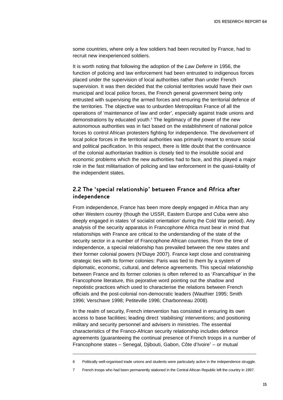some countries, where only a few soldiers had been recruited by France, had to recruit new inexperienced soldiers.

It is worth noting that following the adoption of the *Law Deferre* in 1956, the function of policing and law enforcement had been entrusted to indigenous forces placed under the supervision of local authorities rather than under French supervision. It was then decided that the colonial territories would have their own municipal and local police forces, the French general government being only entrusted with supervising the armed forces and ensuring the territorial defence of the territories. The objective was to unburden Metropolitan France of all the operations of 'maintenance of law and order', especially against trade unions and demonstrations by educated youth.<sup>6</sup> The legitimacy of the power of the new autonomous authorities was in fact based on the establishment of national police forces to control African protesters fighting for independence. The devolvement of local police forces in the territorial authorities was primarily meant to ensure social and political pacification. In this respect, there is little doubt that the continuance of the colonial authoritarian tradition is closely tied to the insoluble social and economic problems which the new authorities had to face, and this played a major role in the fast militarisation of policing and law enforcement in the quasi-totality of the independent states.

#### **2.2 The 'special relationship' between France and Africa after independence**

From independence, France has been more deeply engaged in Africa than any other Western country (though the USSR, Eastern Europe and Cuba were also deeply engaged in states 'of socialist orientation' during the Cold War period). Any analysis of the security apparatus in Francophone Africa must bear in mind that relationships with France are critical to the understanding of the state of the security sector in a number of Francophone African countries. From the time of independence, a special relationship has prevailed between the new states and their former colonial powers (N'Diaye 2007). France kept close and constraining strategic ties with its former colonies: Paris was tied to them by a system of diplomatic, economic, cultural, and defence agreements. This special relationship between France and its former colonies is often referred to as '*Francafrique*' in the Francophone literature, this pejorative word pointing out the shadow and nepotistic practices which used to characterise the relations between French officials and the post-colonial non-democratic leaders (Wauthier 1995; Smith 1996; Verschave 1998; Petiteville 1996; Charbonneau 2008).

In the realm of security, French intervention has consisted in ensuring its own access to base facilities; leading direct 'stabilising' interventions; and positioning military and security personnel and advisers in ministries. The essential characteristics of the Franco-African security relationship includes defence agreements (guaranteeing the continual presence of French troops in a number of Francophone states – Senegal, Djibouti, Gabon, Côte d'Ivoire<sup>7</sup> – or mutual

<sup>6</sup> Politically well-organised trade unions and students were particularly active in the independence struggle.

<sup>7</sup> French troops who had been permanently stationed in the Central African Republic left the country in 1997.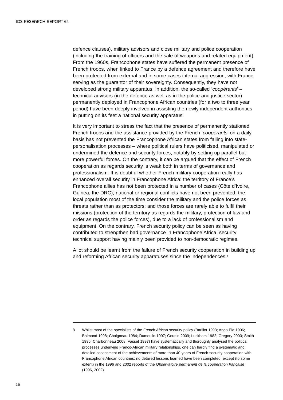defence clauses), military advisors and close military and police cooperation (including the training of officers and the sale of weapons and related equipment). From the 1960s, Francophone states have suffered the permanent presence of French troops, when linked to France by a defence agreement and therefore have been protected from external and in some cases internal aggression, with France serving as the guarantor of their sovereignty. Consequently, they have not developed strong military apparatus. In addition, the so-called '*coopérants*' – technical advisors (in the defence as well as in the police and justice sector) permanently deployed in Francophone African countries (for a two to three year period) have been deeply involved in assisting the newly independent authorities in putting on its feet a national security apparatus.

It is very important to stress the fact that the presence of permanently stationed French troops and the assistance provided by the French '*coopérants*' on a daily basis has not prevented the Francophone African states from falling into statepersonalisation processes – where political rulers have politicised, manipulated or undermined the defence and security forces, notably by setting up parallel but more powerful forces. On the contrary, it can be argued that the effect of French cooperation as regards security is weak both in terms of governance and professionalism. It is doubtful whether French military cooperation really has enhanced overall security in Francophone Africa: the territory of France's Francophone allies has not been protected in a number of cases (Côte d'Ivoire, Guinea, the DRC); national or regional conflicts have not been prevented; the local population most of the time consider the military and the police forces as threats rather than as protectors; and those forces are rarely able to fulfil their missions (protection of the territory as regards the military, protection of law and order as regards the police forces), due to a lack of professionalism and equipment. On the contrary, French security policy can be seen as having contributed to strengthen bad governance in Francophone Africa, security technical support having mainly been provided to non-democratic regimes.

A lot should be learnt from the failure of French security cooperation in building up and reforming African security apparatuses since the independences.<sup>8</sup>

<sup>8</sup> Whilst most of the specialists of the French African security policy (Barillot 1993; Ango Ela 1996; Balmond 1998; Chaigneau 1984; Dumoulin 1997; Gounin 2009; Luckham 1982; Gregory 2000; Smith 1996; Charbonneau 2008; Vasset 1997) have systematically and thoroughly analysed the political processes underlying Franco-African military relationships, one can hardly find a systematic and detailed assessment of the achievements of more than 40 years of French security cooperation with Francophone African countries: no detailed lessons learned have been completed, except (to some extent) in the 1996 and 2002 reports of the *Observatoire permanent de la coopération française* (1996, 2002).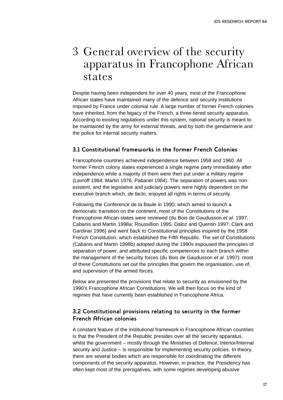## 3 General overview of the security apparatus in Francophone African states

Despite having been independent for over 40 years, most of the Francophone African states have maintained many of the defence and security institutions imposed by France under colonial rule. A large number of former French colonies have inherited, from the legacy of the French, a three-tiered security apparatus. According to existing regulations under this system, national security is meant to be maintained by the army for external threats, and by both the gendarmerie and the police for internal security matters.

#### **3.1 Constitutional frameworks in the former French Colonies**

Francophone countries achieved independence between 1958 and 1960. All former French colony states experienced a single regime party immediately after independence while a majority of them were then put under a military regime (Lavroff 1984; Martin 1976; Pabanel 1984). The separation of powers was nonexistent, and the legislative and judiciary powers were highly dependent on the executive branch which, *de facto*, enjoyed all rights in terms of security.

Following the Conference de la Baule in 1990, which aimed to launch a democratic transition on the continent, most of the Constitutions of the Francophone African states were reviewed (du Bois de Gaudusson *et al.* 1997; Cabanis and Martin 1998a; Roussillion 1995; Daloz and Quentin 1997; Clark and Gardinar 1996) and went back to Constitutional principles inspired by the 1958 French Constitution, which established the Fifth Republic. The set of Constitutions (Cabanis and Martin 1998b) adopted during the 1990s espoused the principles of separation of power, and attributed specific competences to each branch within the management of the security forces (du Bois de Gaudusson *et al.* 1997): most of these Constitutions set out the principles that govern the organisation, use of, and supervision of the armed forces.

Below are presented the provisions that relate to security as envisioned by the 1990's Francophone African Constitutions. We will then focus on the kind of regimes that have currently been established in Francophone Africa.

#### **3.2 Constitutional provisions relating to security in the former French African colonies**

A constant feature of the institutional framework in Francophone African countries is that the President of the Republic presides over all the security apparatus, whilst the government – mostly through the Ministries of Defence, Interior/Internal security and Justice – is responsible for implementing security policies. In theory, there are several bodies which are responsible for coordinating the different components of the security apparatus. However, in practice, the Presidency has often kept most of the prerogatives, with some regimes developing abusive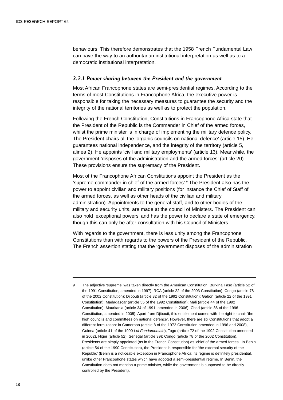behaviours. This therefore demonstrates that the 1958 French Fundamental Law can pave the way to an authoritarian institutional interpretation as well as to a democratic institutional interpretation.

#### *3.2.1 Power sharing between the President and the government*

Most African Francophone states are semi-presidential regimes. According to the terms of most Constitutions in Francophone Africa, the executive power is responsible for taking the necessary measures to guarantee the security and the integrity of the national territories as well as to protect the population.

Following the French Constitution, Constitutions in Francophone Africa state that the President of the Republic is the Commander in Chief of the armed forces, whilst the prime minister is in charge of implementing the military defence policy. The President chairs all the 'organic councils on national defence' (article 15). He guarantees national independence, and the integrity of the territory (article 5, alinea 2). He appoints 'civil and military employments' (article 13). Meanwhile, the government 'disposes of the administration and the armed forces' (article 20). These provisions ensure the supremacy of the President.

Most of the Francophone African Constitutions appoint the President as the 'supreme commander in chief of the armed forces'.9 The President also has the power to appoint civilian and military positions (for instance the Chief of Staff of the armed forces, as well as other heads of the civilian and military administration). Appointments to the general staff, and to other bodies of the military and security units, are made at the council of Ministers. The President can also hold 'exceptional powers' and has the power to declare a state of emergency, though this can only be after consultation with his Council of Ministers.

With regards to the government, there is less unity among the Francophone Constitutions than with regards to the powers of the President of the Republic. The French assertion stating that the 'government disposes of the administration

<sup>9</sup> The adjective 'supreme' was taken directly from the American Constitution: Burkina Faso (article 52 of the 1991 Constitution, amended in 1997); RCA (article 22 of the 2003 Constitution); Congo (article 78 of the 2002 Constitution); Djibouti (article 32 of the 1992 Constitution); Gabon (article 22 of the 1991 Constitution); Madagascar (article 55 of the 1992 Constitution); Mali (article 44 of the 1992 Constitution); Mauritania (article 34 of 1991, amended in 2006); Chad (article 86 of the 1996 Constitution, amended in 2005). Apart from Diibouti, this entitlement comes with the right to chair 'the high councils and committees on national defence'. However, there are six Constitutions that adopt a different formulation: in Cameroon (article 8 of the 1972 Constitution amended in 1996 and 2008), Guinea (article 41 of the 1990 *Loi Fondamentale*), Togo (article 72 of the 1992 Constitution amended in 2002), Niger (article 52), Senegal (article 39); Congo (article 78 of the 2002 Constitution), Presidents are simply appointed (as in the French Constitution) as 'chief of the armed forces'. In Benin (article 54 of the 1990 Constitution), the President is responsible for 'the external security of the Republic' (Benin is a noticeable exception in Francophone Africa: its regime is definitely presidential, unlike other Francophone states which have adopted a semi-presidential regime. In Benin, the Constitution does not mention a prime minister, while the government is supposed to be directly controlled by the President).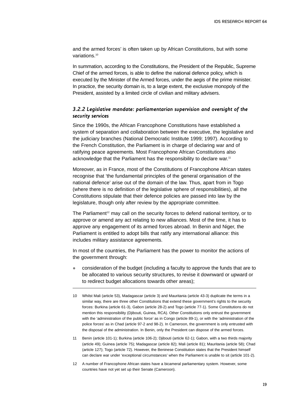and the armed forces' is often taken up by African Constitutions, but with some variations.<sup>10</sup>

In summation, according to the Constitutions, the President of the Republic, Supreme Chief of the armed forces, is able to define the national defence policy, which is executed by the Minister of the Armed forces, under the aegis of the prime minister. In practice, the security domain is, to a large extent, the exclusive monopoly of the President, assisted by a limited circle of civilian and military advisers.

#### *3.2.2 Legislative mandate: parliamentarian supervision and oversight of the security services*

Since the 1990s, the African Francophone Constitutions have established a system of separation and collaboration between the executive, the legislative and the judiciary branches (National Democratic Institute 1999; 1997). According to the French Constitution, the Parliament is in charge of declaring war and of ratifying peace agreements. Most Francophone African Constitutions also acknowledge that the Parliament has the responsibility to declare war.<sup>11</sup>

Moreover, as in France, most of the Constitutions of Francophone African states recognise that 'the fundamental principles of the general organisation of the national defence' arise out of the domain of the law. Thus, apart from in Togo (where there is no definition of the legislative sphere of responsibilities), all the Constitutions stipulate that their defence policies are passed into law by the legislature, though only after review by the appropriate committee.

The Parliament<sup>12</sup> may call on the security forces to defend national territory, or to approve or amend any act relating to new alliances. Most of the time, it has to approve any engagement of its armed forces abroad. In Benin and Niger, the Parliament is entitled to adopt bills that ratify any international alliance: this includes military assistance agreements.

In most of the countries, the Parliament has the power to monitor the actions of the government through:

- z consideration of the budget (including a faculty to approve the funds that are to be allocated to various security structures, to revise it downward or upward or to redirect budget allocations towards other areas);
- 10 Whilst Mali (article 53), Madagascar (article 3) and Mauritania (article 43-3) duplicate the terms in a similar way, there are three other Constitutions that extend these government's rights to the security forces: Burkina (article 61-3), Gabon (article 28-2) and Togo (article 77-1). Some Constitutions do not mention this responsibility (Djibouti, Guinea, RCA). Other Constitutions only entrust the government with the 'administration of the public force' as in Congo (article 89-1), or with the 'administration of the police forces' as in Chad (article 97-2 and 98-2). In Cameroon, the government is only entrusted with the disposal of the administration. In Benin, only the President can dispose of the armed forces.
- 11 Benin (article 101-1); Burkina (article 106-2); Djibouti (article 62-1); Gabon, with a two thirds majority (article 49); Guinea (article 75); Madagascar (article 82); Mali (article 81); Mauritania (article 58); Chad (article 127); Togo (article 72). However, the Beninese Constitution states that the President himself can declare war under 'exceptional circumstances' when the Parliament is unable to sit (article 101-2).
- 12 A number of Francophone African states have a bicameral parliamentary system. However, some countries have not yet set up their Senate (Cameroon).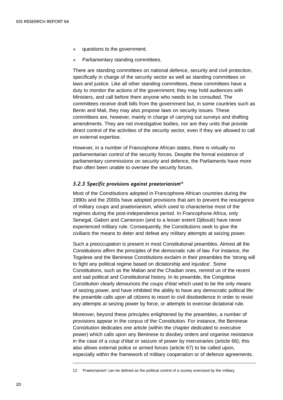- questions to the government;
- Parliamentary standing committees.

There are standing committees on national defence, security and civil protection, specifically in charge of the security sector as well as standing committees on laws and justice. Like all other standing committees, these committees have a duty to monitor the actions of the government; they may hold audiences with Ministers, and call before them anyone who needs to be consulted. The committees receive draft bills from the government but, in some countries such as Benin and Mali, they may also propose laws on security issues. These committees are, however, mainly in charge of carrying out surveys and drafting amendments. They are not investigative bodies, nor are they units that provide direct control of the activities of the security sector, even if they are allowed to call on external expertise.

However, in a number of Francophone African states, there is virtually no parliamentarian control of the security forces. Despite the formal existence of parliamentary commissions on security and defence, the Parliaments have more than often been unable to oversee the security forces.

#### *3.2.3 Specific provisions against praetorianism***<sup>13</sup>**

Most of the Constitutions adopted in Francophone African countries during the 1990s and the 2000s have adopted provisions that aim to prevent the resurgence of military coups and praetorianism, which used to characterise most of the regimes during the post-independence period. In Francophone Africa, only Senegal, Gabon and Cameroon (and to a lesser extent Djibouti) have never experienced military rule. Consequently, the Constitutions seek to give the civilians the means to deter and defeat any military attempts at seizing power.

Such a preoccupation is present in most Constitutional preambles. Almost all the Constitutions affirm the principles of the democratic rule of law. For instance, the Togolese and the Beninese Constitutions exclaim in their preambles the 'strong will to fight any political regime based on dictatorship and injustice'. Some Constitutions, such as the Malian and the Chadian ones, remind us of the recent and sad political and Constitutional history. In its preamble, the Congolese Constitution clearly denounces the *coups d'état* which used to be the only means of seizing power, and have inhibited the ability to have any democratic political life: the preamble calls upon all citizens to resort to civil disobedience in order to resist any attempts at seizing power by force, or attempts to exercise dictatorial rule.

Moreover, beyond these principles enlightened by the preambles, a number of provisions appear in the corpus of the Constitution. For instance, the Beninese Constitution dedicates one article (within the chapter dedicated to executive power) which calls upon any Beninese to disobey orders and organise resistance in the case of a *coup d'état* or seizure of power by mercenaries (article 66); this also allows external police or armed forces (article 67) to be called upon, especially within the framework of military cooperation or of defence agreements.

<sup>13 &#</sup>x27;Praetorianism' can be defined as the political control of a society exercised by the military.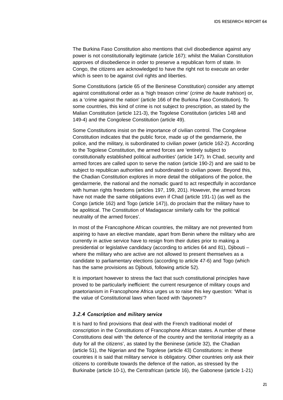The Burkina Faso Constitution also mentions that civil disobedience against any power is not constitutionally legitimate (article 167); whilst the Malian Constitution approves of disobedience in order to preserve a republican form of state. In Congo, the citizens are acknowledged to have the right not to execute an order which is seen to be against civil rights and liberties.

Some Constitutions (article 65 of the Beninese Constitution) consider any attempt against constitutional order as a 'high treason crime' (*crime de haute trahison*) or, as a 'crime against the nation' (article 166 of the Burkina Faso Constitution). To some countries, this kind of crime is not subject to prescription, as stated by the Malian Constitution (article 121-3), the Togolese Constitution (articles 148 and 149-4) and the Congolese Constitution (article 49).

Some Constitutions insist on the importance of civilian control. The Congolese Constitution indicates that the public force, made up of the gendarmerie, the police, and the military, is subordinated to civilian power (article 162-2). According to the Togolese Constitution, the armed forces are 'entirely subject to constitutionally established political authorities' (article 147). In Chad, security and armed forces are called upon to serve the nation (article 190-2) and are said to be subject to republican authorities and subordinated to civilian power. Beyond this, the Chadian Constitution explores in more detail the obligations of the police, the gendarmerie, the national and the nomadic guard to act respectfully in accordance with human rights freedoms (articles 197, 199, 201). However, the armed forces have not made the same obligations even if Chad (article 191-1) (as well as the Congo (article 162) and Togo (article 147)), do proclaim that the military have to be apolitical. The Constitution of Madagascar similarly calls for 'the political neutrality of the armed forces'.

In most of the Francophone African countries, the military are not prevented from aspiring to have an elective mandate, apart from Benin where the military who are currently in active service have to resign from their duties prior to making a presidential or legislative candidacy (according to articles 64 and 81), Djibouti – where the military who are active are not allowed to present themselves as a candidate to parliamentary elections (according to article 47-6) and Togo (which has the same provisions as Djibouti, following article 52).

It is important however to stress the fact that such constitutional principles have proved to be particularly inefficient: the current resurgence of military coups and praetorianism in Francophone Africa urges us to raise this key question: 'What is the value of Constitutional laws when faced with '*bayonets*'?

#### *3.2.4 Conscription and military service*

It is hard to find provisions that deal with the French traditional model of conscription in the Constitutions of Francophone African states. A number of these Constitutions deal with 'the defence of the country and the territorial integrity as a duty for all the citizens', as stated by the Beninese (article 32), the Chadian (article 51), the Nigerian and the Togolese (article 43) Constitutions: in these countries it is said that military service is obligatory. Other countries only ask their citizens to contribute towards the defence of the nation, as stressed by the Burkinabe (article 10-1), the Centrafrican (article 16), the Gabonese (article 1-21)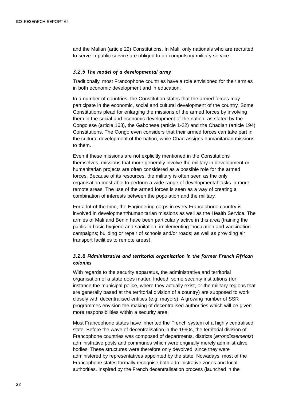and the Malian (article 22) Constitutions. In Mali, only nationals who are recruited to serve in public service are obliged to do compulsory military service.

#### *3.2.5 The model of a developmental army*

Traditionally, most Francophone countries have a role envisioned for their armies in both economic development and in education.

In a number of countries, the Constitution states that the armed forces may participate in the economic, social and cultural development of the country. Some Constitutions plead for enlarging the missions of the armed forces by involving them in the social and economic development of the nation, as stated by the Congolese (article 168), the Gabonese (article 1-22) and the Chadian (article 194) Constitutions. The Congo even considers that their armed forces can take part in the cultural development of the nation, while Chad assigns humanitarian missions to them.

Even if these missions are not explicitly mentioned in the Constitutions themselves, missions that more generally involve the military in development or humanitarian projects are often considered as a possible role for the armed forces. Because of its resources, the military is often seen as the only organisation most able to perform a wide range of developmental tasks in more remote areas. The use of the armed forces is seen as a way of creating a combination of interests between the population and the military.

For a lot of the time, the Engineering corps in every Francophone country is involved in development/humanitarian missions as well as the Health Service. The armies of Mali and Benin have been particularly active in this area (training the public in basic hygiene and sanitation; implementing inoculation and vaccination campaigns; building or repair of schools and/or roads; as well as providing air transport facilities to remote areas).

#### *3.2.6 Administrative and territorial organisation in the former French African colonies*

With regards to the security apparatus, the administrative and territorial organisation of a state does matter. Indeed, some security institutions (for instance the municipal police, where they actually exist, or the military regions that are generally based at the territorial division of a country) are supposed to work closely with decentralised entities (e.g. mayors). A growing number of SSR programmes envision the making of decentralised authorities which will be given more responsibilities within a security area.

Most Francophone states have inherited the French system of a highly centralised state. Before the wave of decentralisation in the 1990s, the territorial division of Francophone countries was composed of departments, districts (*arrondissements*), administrative posts and communes which were originally merely administrative bodies. These structures were therefore only devolved, since they were administered by representatives appointed by the state. Nowadays, most of the Francophone states formally recognise both administrative zones and local authorities. Inspired by the French decentralisation process (launched in the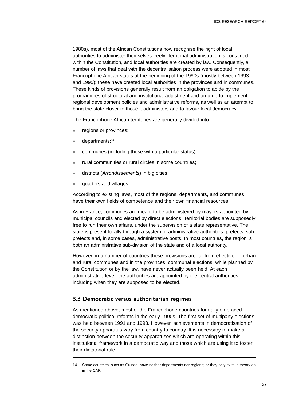1980s), most of the African Constitutions now recognise the right of local authorities to administer themselves freely. Territorial administration is contained within the Constitution, and local authorities are created by law. Consequently, a number of laws that deal with the decentralisation process were adopted in most Francophone African states at the beginning of the 1990s (mostly between 1993 and 1995); these have created local authorities in the provinces and in communes. These kinds of provisions generally result from an obligation to abide by the programmes of structural and institutional adjustment and an urge to implement regional development policies and administrative reforms, as well as an attempt to bring the state closer to those it administers and to favour local democracy.

The Francophone African territories are generally divided into:

- regions or provinces;
- $\bullet$  departments;<sup>14</sup>
- $\bullet$  communes (including those with a particular status);
- $\bullet$  rural communities or rural circles in some countries;
- **•** districts (*Arrondissements*) in big cities;
- **•** quarters and villages.

According to existing laws, most of the regions, departments, and communes have their own fields of competence and their own financial resources.

As in France, communes are meant to be administered by mayors appointed by municipal councils and elected by direct elections. Territorial bodies are supposedly free to run their own affairs, under the supervision of a state representative. The state is present locally through a system of administrative authorities: prefects, subprefects and, in some cases, administrative posts. In most countries, the region is both an administrative sub-division of the state and of a local authority.

However, in a number of countries these provisions are far from effective: in urban and rural communes and in the provinces, communal elections, while planned by the Constitution or by the law, have never actually been held. At each administrative level, the authorities are appointed by the central authorities, including when they are supposed to be elected.

#### **3.3 Democratic versus authoritarian regimes**

As mentioned above, most of the Francophone countries formally embraced democratic political reforms in the early 1990s. The first set of multiparty elections was held between 1991 and 1993. However, achievements in democratisation of the security apparatus vary from country to country. It is necessary to make a distinction between the security apparatuses which are operating within this institutional framework in a democratic way and those which are using it to foster their dictatorial rule.

<sup>14</sup> Some countries, such as Guinea, have neither departments nor regions; or they only exist in theory as in the CAR.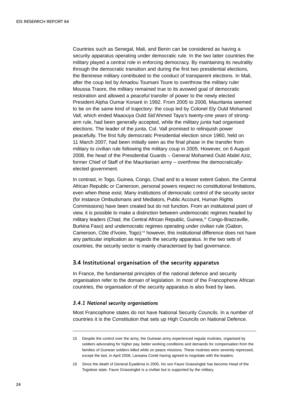Countries such as Senegal, Mali, and Benin can be considered as having a security apparatus operating under democratic rule. In the two latter countries the military played a central role in enforcing democracy. By maintaining its neutrality through the democratic transition and during the first two presidential elections, the Beninese military contributed to the conduct of transparent elections. In Mali, after the coup led by Amadou Toumani Toure to overthrow the military ruler Moussa Traore, the military remained true to its avowed goal of democratic restoration and allowed a peaceful transfer of power to the newly elected President Alpha Oumar Konaré in 1992. From 2005 to 2008, Mauritania seemed to be on the same kind of trajectory: the coup led by Colonel Ely Ould Mohamed Vall, which ended Maaouya Ould Sid'Ahmed Taya's twenty-one years of strongarm rule, had been generally accepted, while the military *junta* had organised elections. The leader of the *junta*, Col. Vall promised to relinquish power peacefully. The first fully democratic Presidential election since 1960, held on 11 March 2007, had been initially seen as the final phase in the transfer from military to civilian rule following the military coup in 2005. However, on 6 August 2008, the head of the Presidential Guards – General Mohamed Ould Abdel Aziz, former Chief of Staff of the Mauritanian army – overthrew the democraticallyelected government.

In contrast, in Togo, Guinea, Congo, Chad and to a lesser extent Gabon, the Central African Republic or Cameroon, personal powers respect no constitutional limitations, even when these exist. Many institutions of democratic control of the security sector (for instance Ombudsmans and Mediators, Public Account, Human Rights Commissions) have been created but do not function. From an institutional point of view, it is possible to make a distinction between undemocratic regimes headed by military leaders (Chad, the Central African Republic, Guinea,<sup>15</sup> Congo-Brazzaville, Burkina Faso) and undemocratic regimes operating under civilian rule (Gabon, Cameroon, Côte d'Ivoire, Togo):16 however, this institutional difference does not have any particular implication as regards the security apparatus. In the two sets of countries, the security sector is mainly characterised by bad governance.

#### **3.4 Institutional organisation of the security apparatus**

In France, the fundamental principles of the national defence and security organisation refer to the domain of legislation. In most of the Francophone African countries, the organisation of the security apparatus is also fixed by laws.

#### *3.4.1 National security organisations*

Most Francophone states do not have National Security Councils. In a number of countries it is the Constitution that sets up High Councils on National Defence.

<sup>15</sup> Despite the control over the army, the Guinean army experienced regular mutinies, organised by soldiers advocating for higher pay, better working conditions and demands for compensation from the families of Guinean soldiers killed while on peace missions. These mutinies were severely repressed, except the last, in April 2008, Lansana Conté having agreed to negotiate with the leaders.

<sup>16</sup> Since the death of General Eyadéma in 2005, his son Faure Gnassingbé has become Head of the Togolese state. Faure Gnassingbé is a civilian but is supported by the military.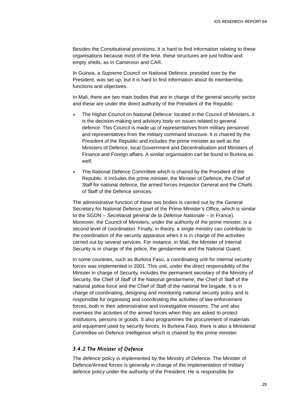Besides the Constitutional provisions, it is hard to find information relating to these organisations because most of the time, these structures are just hollow and empty shells, as in Cameroon and CAR.

In Guinea, a Supreme Council on National Defence, presided over by the President, was set up, but it is hard to find information about its membership, functions and objectives.

In Mali, there are two main bodies that are in charge of the general security sector and these are under the direct authority of the President of the Republic:

- The Higher Council on National Defence: located in the Council of Ministers, it is the decision-making and advisory body on issues related to general defence. This Council is made up of representatives from military personnel and representatives from the military command structure. It is chaired by the President of the Republic and includes the prime minister as well as the Ministers of Defence, local Government and Decentralisation and Ministers of Finance and Foreign affairs. A similar organisation can be found in Burkina as well;
- The National Defence Committee which is chaired by the President of the Republic. It includes the prime minister, the Minister of Defence, the Chief of Staff for national defence, the armed forces Inspector General and the Chiefs of Staff of the Defence services.

The administrative function of these two bodies is carried out by the General Secretary for National Defence (part of the Prime Minister's Office, which is similar to the SGDN – *Secrétariat général de la Défense Nationale* – in France). Moreover, the Council of Ministers, under the authority of the prime minister, is a second level of coordination. Finally, in theory, a single ministry can contribute to the coordination of the security apparatus when it is in charge of the activities carried out by several services. For instance, in Mali, the Minister of Internal Security is in charge of the police, the gendarmerie and the National Guard.

In some countries, such as Burkina Faso, a coordinating unit for internal security forces was implemented in 2001. This unit, under the direct responsibility of the Minister in charge of Security, includes the permanent secretary of the Ministry of Security, the Chief of Staff of the National gendarmerie, the Chief of Staff of the national police force and the Chief of Staff of the national fire brigade. It is in charge of coordinating, designing and monitoring national security policy and is responsible for organising and coordinating the activities of law enforcement forces, both in their administrative and investigative missions. The unit also oversees the activities of the armed forces when they are asked to protect institutions, persons or goods. It also programmes the procurement of materials and equipment used by security forces. In Burkina Faso, there is also a Ministerial Committee on Defence Intelligence which is chaired by the prime minister.

#### *3.4.2 The Minister of Defence*

The defence policy is implemented by the Ministry of Defence. The Minister of Defence/Armed forces is generally in charge of the implementation of military defence policy under the authority of the President. He is responsible for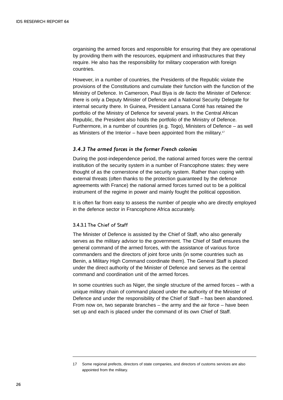organising the armed forces and responsible for ensuring that they are operational by providing them with the resources, equipment and infrastructures that they require. He also has the responsibility for military cooperation with foreign countries.

However, in a number of countries, the Presidents of the Republic violate the provisions of the Constitutions and cumulate their function with the function of the Ministry of Defence. In Cameroon, Paul Biya is *de facto* the Minister of Defence: there is only a Deputy Minister of Defence and a National Security Delegate for internal security there. In Guinea, President Lansana Conté has retained the portfolio of the Ministry of Defence for several years. In the Central African Republic, the President also holds the portfolio of the Ministry of Defence. Furthermore, in a number of countries (e.g. Togo), Ministers of Defence – as well as Ministers of the Interior – have been appointed from the military.<sup>17</sup>

#### *3.4.3 The armed forces in the former French colonies*

During the post-independence period, the national armed forces were the central institution of the security system in a number of Francophone states: they were thought of as the cornerstone of the security system. Rather than coping with external threats (often thanks to the protection guaranteed by the defence agreements with France) the national armed forces turned out to be a political instrument of the regime in power and mainly fought the political opposition.

It is often far from easy to assess the number of people who are directly employed in the defence sector in Francophone Africa accurately.

#### 3.4.3.1 The Chief of Staff

The Minister of Defence is assisted by the Chief of Staff, who also generally serves as the military advisor to the government. The Chief of Staff ensures the general command of the armed forces, with the assistance of various force commanders and the directors of joint force units (in some countries such as Benin, a Military High Command coordinate them). The General Staff is placed under the direct authority of the Minister of Defence and serves as the central command and coordination unit of the armed forces.

In some countries such as Niger, the single structure of the armed forces – with a unique military chain of command placed under the authority of the Minister of Defence and under the responsibility of the Chief of Staff – has been abandoned. From now on, two separate branches – the army and the air force – have been set up and each is placed under the command of its own Chief of Staff.

<sup>17</sup> Some regional prefects, directors of state companies, and directors of customs services are also appointed from the military.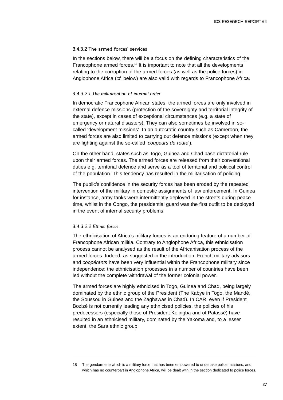#### 3.4.3.2 The armed forces' services

In the sections below, there will be a focus on the defining characteristics of the Francophone armed forces.<sup>18</sup> It is important to note that all the developments relating to the corruption of the armed forces (as well as the police forces) in Anglophone Africa (*cf.* below) are also valid with regards to Francophone Africa.

#### *3.4.3.2.1 The militarisation of internal order*

In democratic Francophone African states, the armed forces are only involved in external defence missions (protection of the sovereignty and territorial integrity of the state), except in cases of exceptional circumstances (e.g. a state of emergency or natural disasters). They can also sometimes be involved in socalled 'development missions'. In an autocratic country such as Cameroon, the armed forces are also limited to carrying out defence missions (except when they are fighting against the so-called '*coupeurs de route*').

On the other hand, states such as Togo, Guinea and Chad base dictatorial rule upon their armed forces. The armed forces are released from their conventional duties e.g. territorial defence and serve as a tool of territorial and political control of the population. This tendency has resulted in the militarisation of policing.

The public's confidence in the security forces has been eroded by the repeated intervention of the military in domestic assignments of law enforcement. In Guinea for instance, army tanks were intermittently deployed in the streets during peace time, whilst in the Congo, the presidential guard was the first outfit to be deployed in the event of internal security problems.

#### *3.4.3.2.2 Ethnic forces*

The ethnicisation of Africa's military forces is an enduring feature of a number of Francophone African militia. Contrary to Anglophone Africa, this ethnicisation process cannot be analysed as the result of the Africanisation process of the armed forces. Indeed, as suggested in the introduction, French military advisors and *coopérants* have been very influential within the Francophone military since independence: the ethnicisation processes in a number of countries have been led without the complete withdrawal of the former colonial power.

The armed forces are highly ethnicised in Togo, Guinea and Chad, being largely dominated by the ethnic group of the President (The Kabye in Togo, the Mandé, the Soussou in Guinea and the Zaghawas in Chad). In CAR, even if President Bozizé is not currently leading any ethnicised policies, the policies of his predecessors (especially those of President Kolingba and of Patassé) have resulted in an ethnicised military, dominated by the Yakoma and, to a lesser extent, the Sara ethnic group.

<sup>18</sup> The gendarmerie which is a military force that has been empowered to undertake police missions, and which has no counterpart in Anglophone Africa, will be dealt with in the section dedicated to police forces.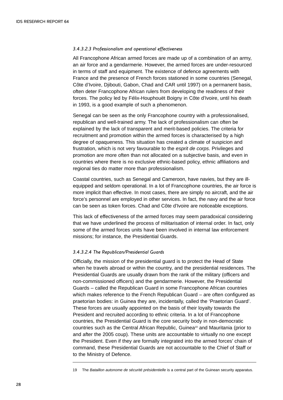#### *3.4.3.2.3 Professionalism and operational effectiveness*

All Francophone African armed forces are made up of a combination of an army, an air force and a gendarmerie. However, the armed forces are under-resourced in terms of staff and equipment. The existence of defence agreements with France and the presence of French forces stationed in some countries (Senegal, Côte d'Ivoire, Djibouti, Gabon, Chad and CAR until 1997) on a permanent basis, often deter Francophone African rulers from developing the readiness of their forces. The policy led by Félix-Houphouët Boigny in Côte d'Ivoire, until his death in 1993, is a good example of such a phenomenon.

Senegal can be seen as the only Francophone country with a professionalised, republican and well-trained army. The lack of professionalism can often be explained by the lack of transparent and merit-based policies. The criteria for recruitment and promotion within the armed forces is characterised by a high degree of opaqueness. This situation has created a climate of suspicion and frustration, which is not very favourable to the *esprit de corps*. Privileges and promotion are more often than not allocated on a subjective basis, and even in countries where there is no exclusive ethnic-based policy, ethnic affiliations and regional ties do matter more than professionalism.

Coastal countries, such as Senegal and Cameroon, have navies, but they are illequipped and seldom operational. In a lot of Francophone countries, the air force is more implicit than effective. In most cases, there are simply no aircraft, and the air force's personnel are employed in other services. In fact, the navy and the air force can be seen as token forces. Chad and Côte d'Ivoire are noticeable exceptions.

This lack of effectiveness of the armed forces may seem paradoxical considering that we have underlined the process of militarisation of internal order. In fact, only some of the armed forces units have been involved in internal law enforcement missions; for instance, the Presidential Guards.

#### *3.4.3.2.4 The Republican/Presidential Guards*

Officially, the mission of the presidential guard is to protect the Head of State when he travels abroad or within the country, and the presidential residences. The Presidential Guards are usually drawn from the rank of the military (officers and non-commissioned officers) and the gendarmerie. However, the Presidential Guards – called the Republican Guard in some Francophone African countries which makes reference to the French Republican Guard – are often configured as praetorian bodies: in Guinea they are, incidentally, called the 'Praetorian Guard'. These forces are usually appointed on the basis of their loyalty towards the President and recruited according to ethnic criteria. In a lot of Francophone countries, the Presidential Guard is the core security body in non-democratic countries such as the Central African Republic, Guinea<sup>19</sup> and Mauritania (prior to and after the 2005 coup). These units are accountable to virtually no one except the President. Even if they are formally integrated into the armed forces' chain of command, these Presidential Guards are not accountable to the Chief of Staff or to the Ministry of Defence.

<sup>19</sup> The *Bataillon autonome de sécurité présidentielle* is a central part of the Guinean security apparatus.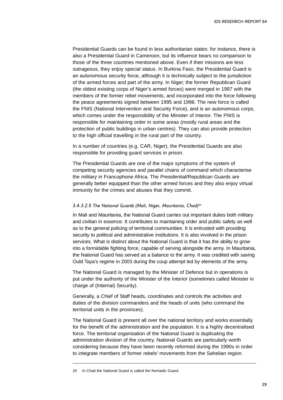Presidential Guards can be found in less authoritarian states: for instance, there is also a Presidential Guard in Cameroon, but its influence bears no comparison to those of the three countries mentioned above. Even if their missions are less outrageous, they enjoy special status. In Burkina Faso, the Presidential Guard is an autonomous security force, although it is technically subject to the jurisdiction of the armed forces and part of the army. In Niger, the former Republican Guard (the oldest existing corps of Niger's armed forces) were merged in 1997 with the members of the former rebel movements, and incorporated into the force following the peace agreements signed between 1995 and 1998. The new force is called the FNIS (National Intervention and Security Force), and is an autonomous corps, which comes under the responsibility of the Minister of Interior. The FNIS is responsible for maintaining order in some areas (mostly rural areas and the protection of public buildings in urban centres). They can also provide protection to the high official travelling in the rural part of the country.

In a number of countries (e.g. CAR, Niger), the Presidential Guards are also responsible for providing guard services in prison.

The Presidential Guards are one of the major symptoms of the system of competing security agencies and parallel chains of command which characterise the military in Francophone Africa. The Presidential/Republican Guards are generally better equipped than the other armed forces and they also enjoy virtual immunity for the crimes and abuses that they commit.

#### *3.4.3.2.5 The National Guards (Mali, Niger, Mauritania, Chad)*<sup>20</sup>

In Mali and Mauritania, the National Guard carries out important duties both military and civilian in essence. It contributes to maintaining order and public safety as well as to the general policing of territorial communities. It is entrusted with providing security to political and administrative institutions. It is also involved in the prison services. What is distinct about the National Guard is that it has the ability to grow into a formidable fighting force, capable of serving alongside the army. In Mauritania, the National Guard has served as a balance to the army. It was credited with saving Ould Taya's regime in 2003 during the coup attempt led by elements of the army.

The National Guard is managed by the Minister of Defence but in operations is put under the authority of the Minister of the Interior (sometimes called Minister in charge of (Internal) Security).

Generally, a Chief of Staff heads, coordinates and controls the activities and duties of the division commanders and the heads of units (who command the territorial units in the provinces).

The National Guard is present all over the national territory and works essentially for the benefit of the administration and the population. It is a highly decentralised force. The territorial organisation of the National Guard is duplicating the administration division of the country. National Guards are particularly worth considering because they have been recently reformed during the 1990s in order to integrate members of former rebels' movements from the Sahelian region.

<sup>20</sup> In Chad the National Guard is called the Nomadic Guard.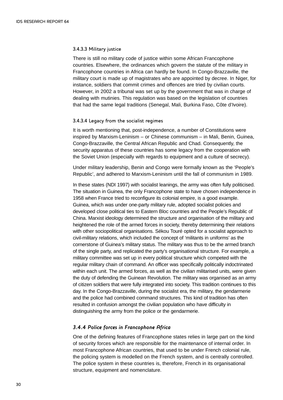#### 3.4.3.3 Military justice

There is still no military code of justice within some African Francophone countries. Elsewhere, the ordinances which govern the statute of the military in Francophone countries in Africa can hardly be found. In Congo-Brazzaville, the military court is made up of magistrates who are appointed by decree. In Niger, for instance, soldiers that commit crimes and offences are tried by civilian courts. However, in 2002 a tribunal was set up by the government that was in charge of dealing with mutinies. This regulation was based on the legislation of countries that had the same legal traditions (Senegal, Mali, Burkina Faso, Côte d'Ivoire).

#### 3.4.3.4 Legacy from the socialist regimes

It is worth mentioning that, post-independence, a number of Constitutions were inspired by Marxism-Leninism – or Chinese communism – in Mali, Benin, Guinea, Congo-Brazzaville, the Central African Republic and Chad. Consequently, the security apparatus of these countries has some legacy from the cooperation with the Soviet Union (especially with regards to equipment and a culture of secrecy).

Under military leadership, Benin and Congo were formally known as the 'People's Republic', and adhered to Marxism-Leninism until the fall of communism in 1989.

In these states (NDI 1997) with socialist leanings, the army was often fully politicised. The situation in Guinea, the only Francophone state to have chosen independence in 1958 when France tried to reconfigure its colonial empire, is a good example. Guinea, which was under one-party military rule, adopted socialist policies and developed close political ties to Eastern Bloc countries and the People's Republic of China. Marxist ideology determined the structure and organisation of the military and heightened the role of the armed forces in society, thereby determining their relations with other sociopolitical organisations. Sékou Touré opted for a socialist approach to civil-military relations, which included the concept of 'militants in uniforms' as the cornerstone of Guinea's military status. The military was thus to be the armed branch of the single party, and replicated the party's organisational structure. For example, a military committee was set up in every political structure which competed with the regular military chain of command. An officer was specifically politically indoctrinated within each unit. The armed forces, as well as the civilian militarised units, were given the duty of defending the Guinean Revolution. The military was organised as an army of citizen soldiers that were fully integrated into society. This tradition continues to this day. In the Congo-Brazzaville, during the socialist era, the military, the gendarmerie and the police had combined command structures. This kind of tradition has often resulted in confusion amongst the civilian population who have difficulty in distinguishing the army from the police or the gendarmerie.

#### *3.4.4 Police forces in Francophone Africa*

One of the defining features of Francophone states relies in large part on the kind of security forces which are responsible for the maintenance of internal order. In most Francophone African countries, that used to be under French colonial rule, the policing system is modelled on the French system, and is centrally controlled. The police system in these countries is, therefore, French in its organisational structure, equipment and nomenclature.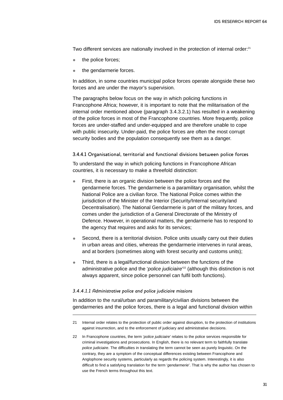Two different services are nationally involved in the protection of internal order:<sup>21</sup>

- the police forces;
- the gendarmerie forces.

In addition, in some countries municipal police forces operate alongside these two forces and are under the mayor's supervision.

The paragraphs below focus on the way in which policing functions in Francophone Africa; however, it is important to note that the militarisation of the internal order mentioned above (paragraph 3.4.3.2.1) has resulted in a weakening of the police forces in most of the Francophone countries. More frequently, police forces are under-staffed and under-equipped and are therefore unable to cope with public insecurity. Under-paid, the police forces are often the most corrupt security bodies and the population consequently see them as a danger.

#### 3.4.4.1 Organisational, territorial and functional divisions between police forces

To understand the way in which policing functions in Francophone African countries, it is necessary to make a threefold distinction:

- First, there is an organic division between the police forces and the gendarmerie forces. The gendarmerie is a paramilitary organisation, whilst the National Police are a civilian force. The National Police comes within the jurisdiction of the Minister of the Interior (Security/Internal security/and Decentralisation). The National Gendarmerie is part of the military forces, and comes under the jurisdiction of a General Directorate of the Ministry of Defence. However, in operational matters, the gendarmerie has to respond to the agency that requires and asks for its services;
- $\bullet$  Second, there is a territorial division. Police units usually carry out their duties in urban areas and cities, whereas the gendarmerie intervenes in rural areas, and at borders (sometimes along with forest security and customs units);
- $\bullet$  Third, there is a legal/functional division between the functions of the administrative police and the '*police judiciaire*' <sup>22</sup> (although this distinction is not always apparent, since police personnel can fulfil both functions).

#### *3.4.4.1.1 Administrative police and police judiciaire missions*

In addition to the rural/urban and paramilitary/civilian divisions between the gendarmeries and the police forces, there is a legal and functional division within

<sup>21</sup> Internal order relates to the protection of public order against disruption, to the protection of institutions against insurrection, and to the enforcement of judiciary and administrative decisions.

<sup>22</sup> In Francophone countries, the term '*police judiciaire*' relates to the police services responsible for criminal investigations and prosecutions. In English, there is no relevant term to faithfully translate *police judiciaire*. The difficulties in translating the term cannot be seen as purely linguistic. On the contrary, they are a symptom of the conceptual differences existing between Francophone and Anglophone security systems, particularly as regards the policing system. Interestingly, it is also difficult to find a satisfying translation for the term '*gendarmerie*'. That is why the author has chosen to use the French terms throughout this text.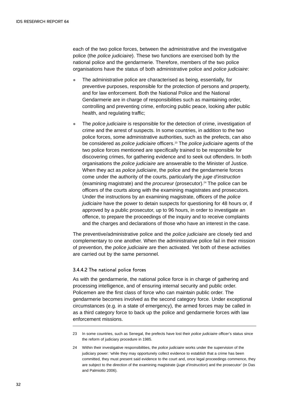each of the two police forces, between the administrative and the investigative police (the *police judiciaire*). These two functions are exercised both by the national police and the gendarmerie. Therefore, members of the two police organisations have the status of both administrative police and *police judiciaire*:

- The administrative police are characterised as being, essentially, for preventive purposes, responsible for the protection of persons and property, and for law enforcement. Both the National Police and the National Gendarmerie are in charge of responsibilities such as maintaining order, controlling and preventing crime, enforcing public peace, looking after public health, and regulating traffic;
- The *police judiciaire* is responsible for the detection of crime, investigation of crime and the arrest of suspects. In some countries, in addition to the two police forces, some administrative authorities, such as the prefects, can also be considered as *police judiciaire* officers.23 The *police judiciaire* agents of the two police forces mentioned are specifically trained to be responsible for discovering crimes, for gathering evidence and to seek out offenders. In both organisations the *police judiciaire* are answerable to the Minister of Justice. When they act as *police judiciaire*, the police and the gendarmerie forces come under the authority of the courts, particularly the *juge d'instruction* (examining magistrate) and the *procureur* (prosecutor).24 The police can be officers of the courts along with the examining magistrates and prosecutors. Under the instructions by an examining magistrate, officers of the *police judiciaire* have the power to detain suspects for questioning for 48 hours or, if approved by a public prosecutor, up to 96 hours, in order to investigate an offence, to prepare the proceedings of the inquiry and to receive complaints and the charges and declarations of those who have an interest in the case.

The preventive/administrative police and the *police judiciaire* are closely tied and complementary to one another. When the administrative police fail in their mission of prevention, the *police judiciaire* are then activated. Yet both of these activities are carried out by the same personnel.

#### 3.4.4.2 The national police forces

As with the gendarmerie, the national police force is in charge of gathering and processing intelligence, and of ensuring internal security and public order. Policemen are the first class of force who can maintain public order. The gendarmerie becomes involved as the second category force. Under exceptional circumstances (e.g. in a state of emergency), the armed forces may be called in as a third category force to back up the police and gendarmerie forces with law enforcement missions.

<sup>23</sup> In some countries, such as Senegal, the prefects have lost their *police judiciaire* officer's status since the reform of judiciary procedure in 1985.

<sup>24</sup> Within their investigative responsibilities, the *police judiciaire* works under the supervision of the judiciary power: 'while they may opportunely collect evidence to establish that a crime has been committed, they must present said evidence to the court and, once legal proceedings commence, they are subject to the direction of the examining magistrate (*juge d'instruction*) and the prosecutor' (in Das and Palmiotto 2006).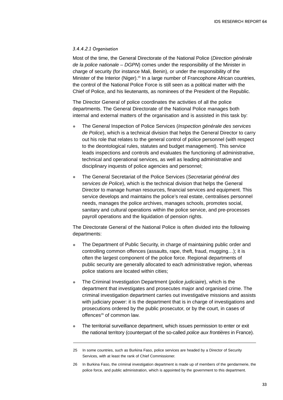#### *3.4.4.2.1 Organisation*

Most of the time, the General Directorate of the National Police (*Direction générale de la police nationale – DGPN*) comes under the responsibility of the Minister in charge of security (for instance Mali, Benin), or under the responsibility of the Minister of the Interior (Niger).<sup>25</sup> In a large number of Francophone African countries, the control of the National Police Force is still seen as a political matter with the Chief of Police, and his lieutenants, as nominees of the President of the Republic.

The Director General of police coordinates the activities of all the police departments. The General Directorate of the National Police manages both internal and external matters of the organisation and is assisted in this task by:

- **The General Inspection of Police Services (***Inspection générale des services de Police*), which is a technical division that helps the General Director to carry out his role that relates to the general control of police personnel (with respect to the deontological rules, statutes and budget management). This service leads inspections and controls and evaluates the functioning of administrative, technical and operational services, as well as leading administrative and disciplinary inquests of police agencies and personnel;
- The General Secretariat of the Police Services (*Secretariat général des services de Police*), which is the technical division that helps the General Director to manage human resources, financial services and equipment. This service develops and maintains the police's real estate, centralises personnel needs, manages the police archives, manages schools, promotes social, sanitary and cultural operations within the police service, and pre-processes payroll operations and the liquidation of pension rights.

The Directorate General of the National Police is often divided into the following departments:

- The Department of Public Security, in charge of maintaining public order and controlling common offences (assaults, rape, theft, fraud, mugging…); it is often the largest component of the police force. Regional departments of public security are generally allocated to each administrative region, whereas police stations are located within cities;
- The Criminal Investigation Department (*police judiciaire*), which is the department that investigates and prosecutes major and organised crime. The criminal investigation department carries out investigative missions and assists with judiciary power: it is the department that is in charge of investigations and prosecutions ordered by the public prosecutor, or by the court, in cases of offences<sup>26</sup> of common law.
- $\bullet$  The territorial surveillance department, which issues permission to enter or exit the national territory (counterpart of the so-called *police aux frontières* in France).

<sup>25</sup> In some countries, such as Burkina Faso, police services are headed by a Director of Security Services, with at least the rank of Chief Commissioner.

<sup>26</sup> In Burkina Faso, the criminal investigation department is made up of members of the gendarmerie, the police force, and public administration, which is appointed by the government to this department.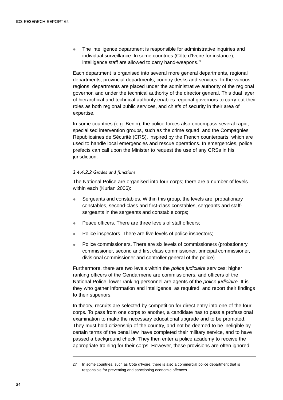• The intelligence department is responsible for administrative inquiries and individual surveillance. In some countries (Côte d'Ivoire for instance), intelligence staff are allowed to carry hand-weapons.<sup>27</sup>

Each department is organised into several more general departments, regional departments, provincial departments, country desks and services. In the various regions, departments are placed under the administrative authority of the regional governor, and under the technical authority of the director general. This dual layer of hierarchical and technical authority enables regional governors to carry out their roles as both regional public services, and chiefs of security in their area of expertise.

In some countries (e.g. Benin), the police forces also encompass several rapid, specialised intervention groups, such as the crime squad, and the Compagnies Républicaines de Sécurité (CRS), inspired by the French counterparts, which are used to handle local emergencies and rescue operations. In emergencies, police prefects can call upon the Minister to request the use of any CRSs in his jurisdiction.

#### *3.4.4.2.2 Grades and functions*

The National Police are organised into four corps; there are a number of levels within each (Kurian 2006):

- Sergeants and constables. Within this group, the levels are: probationary constables, second-class and first-class constables, sergeants and staffsergeants in the sergeants and constable corps;
- $\bullet$  Peace officers. There are three levels of staff officers;
- Police inspectors. There are five levels of police inspectors;
- Police commissioners. There are six levels of commissioners (probationary commissioner, second and first class commissioner, principal commissioner, divisional commissioner and controller general of the police).

Furthermore, there are two levels within the *police judiciaire* services: higher ranking officers of the Gendarmerie are commissioners, and officers of the National Police; lower ranking personnel are agents of the *police judiciaire*. It is they who gather information and intelligence, as required, and report their findings to their superiors.

In theory, recruits are selected by competition for direct entry into one of the four corps. To pass from one corps to another, a candidate has to pass a professional examination to make the necessary educational upgrade and to be promoted. They must hold citizenship of the country, and not be deemed to be ineligible by certain terms of the penal law, have completed their military service, and to have passed a background check. They then enter a police academy to receive the appropriate training for their corps. However, these provisions are often ignored,

<sup>27</sup> In some countries, such as Côte d'Ivoire, there is also a commercial police department that is responsible for preventing and sanctioning economic offences.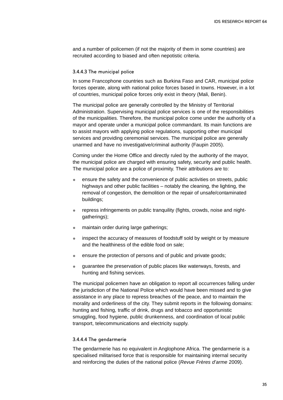and a number of policemen (if not the majority of them in some countries) are recruited according to biased and often nepotistic criteria.

#### 3.4.4.3 The municipal police

In some Francophone countries such as Burkina Faso and CAR, municipal police forces operate, along with national police forces based in towns. However, in a lot of countries, municipal police forces only exist in theory (Mali, Benin).

The municipal police are generally controlled by the Ministry of Territorial Administration. Supervising municipal police services is one of the responsibilities of the municipalities. Therefore, the municipal police come under the authority of a mayor and operate under a municipal police commandant. Its main functions are to assist mayors with applying police regulations, supporting other municipal services and providing ceremonial services. The municipal police are generally unarmed and have no investigative/criminal authority (Faupin 2005).

Coming under the Home Office and directly ruled by the authority of the mayor, the municipal police are charged with ensuring safety, security and public health. The municipal police are a police of proximity. Their attributions are to:

- $\bullet$  ensure the safety and the convenience of public activities on streets, public highways and other public facilities – notably the cleaning, the lighting, the removal of congestion, the demolition or the repair of unsafe/contaminated buildings;
- repress infringements on public tranquility (fights, crowds, noise and nightgatherings);
- $\bullet$  maintain order during large gatherings;
- $\bullet$  inspect the accuracy of measures of foodstuff sold by weight or by measure and the healthiness of the edible food on sale;
- $\bullet$  ensure the protection of persons and of public and private goods;
- $\bullet$  guarantee the preservation of public places like waterways, forests, and hunting and fishing services.

The municipal policemen have an obligation to report all occurrences falling under the jurisdiction of the National Police which would have been missed and to give assistance in any place to repress breaches of the peace, and to maintain the morality and orderliness of the city. They submit reports in the following domains: hunting and fishing, traffic of drink, drugs and tobacco and opportunistic smuggling, food hygiene, public drunkenness, and coordination of local public transport, telecommunications and electricity supply.

#### 3.4.4.4 The gendarmerie

The gendarmerie has no equivalent in Anglophone Africa. The gendarmerie is a specialised militarised force that is responsible for maintaining internal security and reinforcing the duties of the national police (*Revue Frères d'arme* 2009).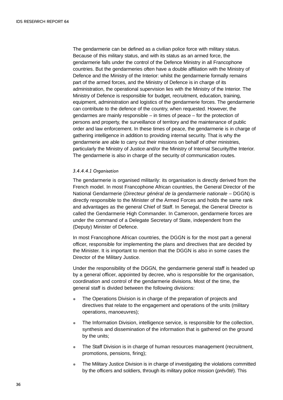The gendarmerie can be defined as a civilian police force with military status. Because of this military status, and with its status as an armed force, the gendarmerie falls under the control of the Defence Ministry in all Francophone countries. But the gendarmeries often have a double affiliation with the Ministry of Defence and the Ministry of the Interior: whilst the gendarmerie formally remains part of the armed forces, and the Ministry of Defence is in charge of its administration, the operational supervision lies with the Ministry of the Interior. The Ministry of Defence is responsible for budget, recruitment, education, training, equipment, administration and logistics of the gendarmerie forces. The gendarmerie can contribute to the defence of the country, when requested. However, the gendarmes are mainly responsible – in times of peace – for the protection of persons and property, the surveillance of territory and the maintenance of public order and law enforcement. In these times of peace, the gendarmerie is in charge of gathering intelligence in addition to providing internal security. That is why the gendarmerie are able to carry out their missions on behalf of other ministries, particularly the Ministry of Justice and/or the Ministry of Internal Security/the Interior. The gendarmerie is also in charge of the security of communication routes.

#### *3.4.4.4.1 Organisation*

The gendarmerie is organised militarily: its organisation is directly derived from the French model. In most Francophone African countries, the General Director of the National Gendarmerie (*Directeur général de la gendarmerie nationale –* DGGN) is directly responsible to the Minister of the Armed Forces and holds the same rank and advantages as the general Chief of Staff. In Senegal, the General Director is called the Gendarmerie High Commander. In Cameroon, gendarmerie forces are under the command of a Delegate Secretary of State, independent from the (Deputy) Minister of Defence.

In most Francophone African countries, the DGGN is for the most part a general officer, responsible for implementing the plans and directives that are decided by the Minister. It is important to mention that the DGGN is also in some cases the Director of the Military Justice.

Under the responsibility of the DGGN, the gendarmerie general staff is headed up by a general officer, appointed by decree, who is responsible for the organisation, coordination and control of the gendarmerie divisions. Most of the time, the general staff is divided between the following divisions:

- The Operations Division is in charge of the preparation of projects and directives that relate to the engagement and operations of the units (military operations, manoeuvres);
- $\bullet$  The Information Division, intelligence service, is responsible for the collection, synthesis and dissemination of the information that is gathered on the ground by the units;
- $\bullet$  The Staff Division is in charge of human resources management (recruitment, promotions, pensions, firing);
- The Military Justice Division is in charge of investigating the violations committed by the officers and soldiers, through its military police mission (*prévôté*). This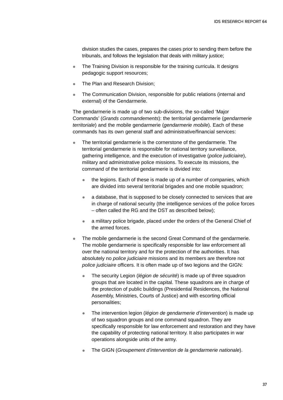division studies the cases, prepares the cases prior to sending them before the tribunals, and follows the legislation that deals with military justice;

- $\bullet$  The Training Division is responsible for the training curricula. It designs pedagogic support resources;
- The Plan and Research Division;
- $\bullet$  The Communication Division, responsible for public relations (internal and external) of the Gendarmerie.

The gendarmerie is made up of two sub-divisions, the so-called 'Major Commands' (*Grands commandements*): the territorial gendarmerie (*gendarmerie territoriale*) and the mobile gendarmerie (*gendarmerie mobile*). Each of these commands has its own general staff and administrative/financial services:

- $\bullet$  The territorial gendarmerie is the cornerstone of the gendarmerie. The territorial gendarmerie is responsible for national territory surveillance, gathering intelligence, and the execution of investigative (*police judiciaire*), military and administrative police missions. To execute its missions, the command of the territorial gendarmerie is divided into:
	- the legions. Each of these is made up of a number of companies, which are divided into several territorial brigades and one mobile squadron;
	- a database, that is supposed to be closely connected to services that are in charge of national security (the intelligence services of the police forces – often called the RG and the DST as described below);
	- a military police brigade, placed under the orders of the General Chief of the armed forces.
- The mobile gendarmerie is the second Great Command of the gendarmerie. The mobile gendarmerie is specifically responsible for law enforcement all over the national territory and for the protection of the authorities. It has absolutely no *police judiciaire* missions and its members are therefore not *police judiciaire* officers. It is often made up of two legions and the GIGN:
	- z The security Legion (*légion de sécurité*) is made up of three squadron groups that are located in the capital. These squadrons are in charge of the protection of public buildings (Presidential Residences, the National Assembly, Ministries, Courts of Justice) and with escorting official personalities;
	- z The intervention legion (*légion de gendarmerie d'intervention*) is made up of two squadron groups and one command squadron. They are specifically responsible for law enforcement and restoration and they have the capability of protecting national territory. It also participates in war operations alongside units of the army.
	- z The GIGN (*Groupement d'intervention de la gendarmerie nationale*).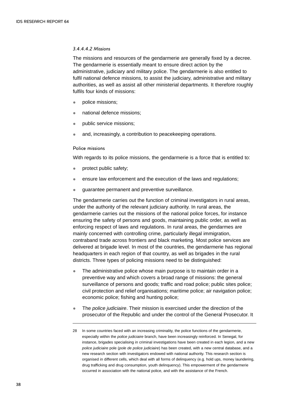#### *3.4.4.4.2 Missions*

The missions and resources of the gendarmerie are generally fixed by a decree. The gendarmerie is essentially meant to ensure direct action by the administrative, judiciary and military police. The gendarmerie is also entitled to fulfil national defence missions, to assist the judiciary, administrative and military authorities, as well as assist all other ministerial departments. It therefore roughly fulfils four kinds of missions:

- police missions;
- national defence missions;
- public service missions;
- $\bullet$  and, increasingly, a contribution to peacekeeping operations.

#### Police missions

With regards to its police missions, the gendarmerie is a force that is entitled to:

- $\bullet$  protect public safety;
- $\bullet$  ensure law enforcement and the execution of the laws and regulations;
- guarantee permanent and preventive surveillance.

The gendarmerie carries out the function of criminal investigators in rural areas, under the authority of the relevant judiciary authority. In rural areas, the gendarmerie carries out the missions of the national police forces, for instance ensuring the safety of persons and goods, maintaining public order, as well as enforcing respect of laws and regulations. In rural areas, the gendarmes are mainly concerned with controlling crime, particularly illegal immigration, contraband trade across frontiers and black marketing. Most police services are delivered at brigade level. In most of the countries, the gendarmerie has regional headquarters in each region of that country, as well as brigades in the rural districts. Three types of policing missions need to be distinguished:

- $\bullet$  The administrative police whose main purpose is to maintain order in a preventive way and which covers a broad range of missions: the general surveillance of persons and goods; traffic and road police; public sites police; civil protection and relief organisations; maritime police; air navigation police; economic police; fishing and hunting police;
- The *police judiciaire*. Their mission is exercised under the direction of the prosecutor of the Republic and under the control of the General Prosecutor. It

<sup>28</sup> In some countries faced with an increasing criminality, the police functions of the gendarmerie, especially within the *police judiciaire* branch, have been increasingly reinforced. In Senegal, for instance, brigades specialising in criminal investigations have been created in each legion, and a new *police judiciaire* pole (*pole de police judiciaire*) has been created, with a new central database, and a new research section with investigators endowed with national authority. This research section is organised in different cells, which deal with all forms of delinquency (e.g. hold ups, money laundering, drug trafficking and drug consumption, youth delinquency). This empowerment of the gendarmerie occurred in association with the national police, and with the assistance of the French.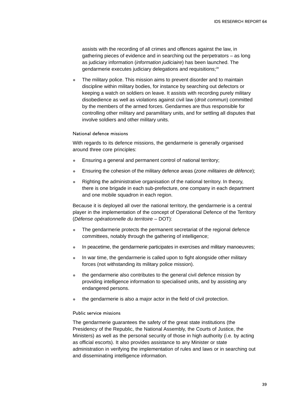assists with the recording of all crimes and offences against the law, in gathering pieces of evidence and in searching out the perpetrators – as long as judiciary information (*information judiciaire*) has been launched. The gendarmerie executes judiciary delegations and requisitions;<sup>28</sup>

 $\bullet$  The military police. This mission aims to prevent disorder and to maintain discipline within military bodies, for instance by searching out defectors or keeping a watch on soldiers on leave. It assists with recording purely military disobedience as well as violations against civil law (*droit commun*) committed by the members of the armed forces. Gendarmes are thus responsible for controlling other military and paramilitary units, and for settling all disputes that involve soldiers and other military units.

#### National defence missions

With regards to its defence missions, the gendarmerie is generally organised around three core principles:

- $\bullet$  Ensuring a general and permanent control of national territory;
- **Ensuring the cohesion of the military defence areas (***zone militaires de défence***);**
- Righting the administrative organisation of the national territory. In theory, there is one brigade in each sub-prefecture, one company in each department and one mobile squadron in each region.

Because it is deployed all over the national territory, the gendarmerie is a central player in the implementation of the concept of Operational Defence of the Territory (*Défense opérationnelle du territoire –* DOT):

- $\bullet$  The gendarmerie protects the permanent secretariat of the regional defence committees, notably through the gathering of intelligence;
- In peacetime, the gendarmerie participates in exercises and military manoeuvres;
- $\bullet$  In war time, the gendarmerie is called upon to fight alongside other military forces (not withstanding its military police mission).
- $\bullet$  the gendarmerie also contributes to the general civil defence mission by providing intelligence information to specialised units, and by assisting any endangered persons.
- $\bullet$  the gendarmerie is also a major actor in the field of civil protection.

#### Public service missions

The gendarmerie guarantees the safety of the great state institutions (the Presidency of the Republic, the National Assembly, the Courts of Justice, the Ministers) as well as the personal security of those in high authority (i.e. by acting as official escorts). It also provides assistance to any Minister or state administration in verifying the implementation of rules and laws or in searching out and disseminating intelligence information.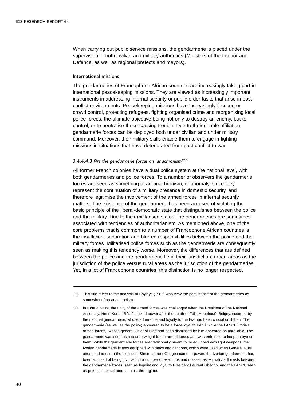When carrying out public service missions, the gendarmerie is placed under the supervision of both civilian and military authorities (Ministers of the Interior and Defence, as well as regional prefects and mayors).

#### International missions

The gendarmeries of Francophone African countries are increasingly taking part in international peacekeeping missions. They are viewed as increasingly important instruments in addressing internal security or public order tasks that arise in postconflict environments. Peacekeeping missions have increasingly focused on crowd control, protecting refugees, fighting organised crime and reorganising local police forces, the ultimate objective being not only to destroy an enemy, but to control, or to neutralise those causing trouble. Due to their double affiliation, gendarmerie forces can be deployed both under civilian and under military command. Moreover, their military skills enable them to engage in fighting missions in situations that have deteriorated from post-conflict to war.

#### *3.4.4.4.3 Are the gendarmerie forces an 'anachronism'?*<sup>29</sup>

All former French colonies have a dual police system at the national level, with both gendarmeries and police forces. To a number of observers the gendarmerie forces are seen as something of an anachronism, or anomaly, since they represent the continuation of a military presence in domestic security, and therefore legitimise the involvement of the armed forces in internal security matters. The existence of the gendarmerie has been accused of violating the basic principle of the liberal-democratic state that distinguishes between the police and the military. Due to their militarised status, the gendarmeries are sometimes associated with tendencies of authoritarianism. As mentioned above, one of the core problems that is common to a number of Francophone African countries is the insufficient separation and blurred responsibilities between the police and the military forces. Militarised police forces such as the gendarmerie are consequently seen as making this tendency worse. Moreover, the differences that are defined between the police and the gendarmerie lie in their jurisdiction: urban areas as the jurisdiction of the police versus rural areas as the jurisdiction of the gendarmeries. Yet, in a lot of Francophone countries, this distinction is no longer respected.

29 This title refers to the analysis of Bayleys (1985) who view the persistence of the gendarmeries as somewhat of an anachronism.

<sup>30</sup> In Côte d'Ivoire, the unity of the armed forces was challenged when the President of the National Assembly, Henri Konan Bédié, seized power after the death of Félix Houphouët Boigny, escorted by the national gendarmerie, whose adherence and loyalty to the law had been crucial until then. The gendarmerie (as well as the police) appeared to be a force loyal to Bédié while the FANCI (Ivorian armed forces), whose general Chief of Staff had been dismissed by him appeared as unreliable. The gendarmerie was seen as a counterweight to the armed forces and was entrusted to keep an eye on them. While the gendarmerie forces are traditionally meant to be equipped with light weapons, the Ivorian gendarmerie is now equipped with tanks and cannons, which were used when General Guei attempted to usurp the elections. Since Laurent Gbagbo came to power, the Ivorian gendarmerie has been accused of being involved in a number of exactions and massacres. A rivalry still exists between the gendarmerie forces, seen as legalist and loyal to President Laurent Gbagbo, and the FANCI, seen as potential conspirators against the regime.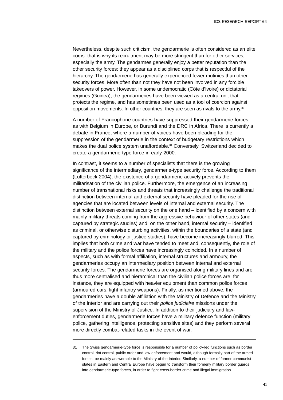Nevertheless, despite such criticism, the gendarmerie is often considered as an elite corps: that is why its recruitment may be more stringent than for other services, especially the army. The gendarmes generally enjoy a better reputation than the other security forces: they appear as a disciplined corps that is respectful of the hierarchy. The gendarmerie has generally experienced fewer mutinies than other security forces. More often than not they have not been involved in any forcible takeovers of power. However, in some undemocratic (Côte d'Ivoire) or dictatorial regimes (Guinea), the gendarmeries have been viewed as a central unit that protects the regime, and has sometimes been used as a tool of coercion against opposition movements. In other countries, they are seen as rivals to the army.<sup>30</sup>

A number of Francophone countries have suppressed their gendarmerie forces, as with Belgium in Europe, or Burundi and the DRC in Africa. There is currently a debate in France, where a number of voices have been pleading for the suppression of the gendarmerie in the context of budgetary restrictions which makes the dual police system unaffordable.<sup>31</sup> Conversely, Switzerland decided to create a gendarmerie-type force in early 2000.

In contrast, it seems to a number of specialists that there is the growing significance of the intermediary, gendarmerie-type security force. According to them (Lutterbeck 2004), the existence of a gendarmerie actively prevents the militarisation of the civilian police. Furthermore, the emergence of an increasing number of transnational risks and threats that increasingly challenge the traditional distinction between internal and external security have pleaded for the rise of agencies that are located between levels of internal and external security. The distinction between external security on the one hand – identified by a concern with mainly military threats coming from the aggressive behaviour of other states (and captured by strategic studies) and, on the other hand, internal security – identified as criminal, or otherwise disturbing activities, within the boundaries of a state (and captured by criminology or justice studies), have become increasingly blurred. This implies that both crime and war have tended to meet and, consequently, the role of the military and the police forces have increasingly coincided. In a number of aspects, such as with formal affiliation, internal structures and armoury, the gendarmeries occupy an intermediary position between internal and external security forces. The gendarmerie forces are organised along military lines and are thus more centralised and hierarchical than the civilian police forces are; for instance, they are equipped with heavier equipment than common police forces (armoured cars, light infantry weapons). Finally, as mentioned above, the gendarmeries have a double affiliation with the Ministry of Defence and the Ministry of the Interior and are carrying out their *police judiciaire* missions under the supervision of the Ministry of Justice. In addition to their judiciary and lawenforcement duties, gendarmerie forces have a military defence function (military police, gathering intelligence, protecting sensitive sites) and they perform several more directly combat-related tasks in the event of war.

<sup>31</sup> The Swiss gendarmerie-type force is responsible for a number of policy-led functions such as border control, riot control, public order and law enforcement and would, although formally part of the armed forces, be mainly answerable to the Ministry of the Interior. Similarly, a number of former communist states in Eastern and Central Europe have begun to transform their formerly military border guards into gendarmerie-type forces, in order to fight cross-border crime and illegal immigration.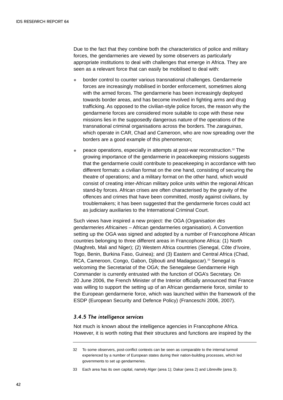Due to the fact that they combine both the characteristics of police and military forces, the gendarmeries are viewed by some observers as particularly appropriate institutions to deal with challenges that emerge in Africa. They are seen as a relevant force that can easily be mobilised to deal with:

- border control to counter various transnational challenges. Gendarmerie forces are increasingly mobilised in border enforcement, sometimes along with the armed forces. The gendarmerie has been increasingly deployed towards border areas, and has become involved in fighting arms and drug trafficking. As opposed to the civilian-style police forces, the reason why the gendarmerie forces are considered more suitable to cope with these new missions lies in the supposedly dangerous nature of the operations of the transnational criminal organisations across the borders. The *zaraguinas*, which operate in CAR, Chad and Cameroon, who are now spreading over the borders are a good example of this phenomenon;
- z peace operations, especially in attempts at post-war reconstruction.32 The growing importance of the gendarmerie in peacekeeping missions suggests that the gendarmerie could contribute to peacekeeping in accordance with two different formats: a civilian format on the one hand, consisting of securing the theatre of operations; and a military format on the other hand, which would consist of creating inter-African military police units within the regional African stand-by forces. African crises are often characterised by the gravity of the offences and crimes that have been committed, mostly against civilians, by troublemakers; it has been suggested that the gendarmerie forces could act as judiciary auxiliaries to the International Criminal Court.

Such views have inspired a new project: the OGA (*Organisation des gendarmeries Africaines* – African gendarmeries organisation). A Convention setting up the OGA was signed and adopted by a number of Francophone African countries belonging to three different areas in Francophone Africa: (1) North (Maghreb, Mali and Niger); (2) Western Africa countries (Senegal, Côte d'Ivoire, Togo, Benin, Burkina Faso, Guinea); and (3) Eastern and Central Africa (Chad, RCA, Cameroon, Congo, Gabon, Djibouti and Madagascar).<sup>33</sup> Senegal is welcoming the Secretariat of the OGA; the Senegalese Gendarmerie High Commander is currently entrusted with the function of OGA's Secretary. On 20 June 2006, the French Minister of the Interior officially announced that France was willing to support the setting up of an African gendarmerie force, similar to the European gendarmerie force, which was launched within the framework of the ESDP (European Security and Defence Policy) (Franceschi 2006, 2007).

## *3.4.5 The intelligence services*

Not much is known about the intelligence agencies in Francophone Africa. However, it is worth noting that their structures and functions are inspired by the

<sup>32</sup> To some observers, post-conflict contexts can be seen as comparable to the internal turmoil experienced by a number of European states during their nation-building processes, which led governments to set up gendarmeries.

<sup>33</sup> Each area has its own capital, namely Alger (area 1); Dakar (area 2) and Libreville (area 3).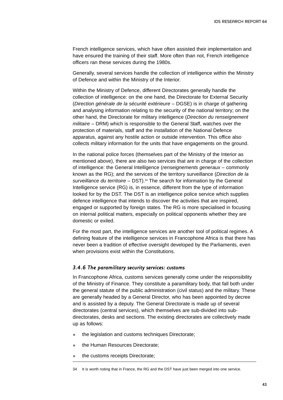French intelligence services, which have often assisted their implementation and have ensured the training of their staff. More often than not, French intelligence officers ran these services during the 1980s.

Generally, several services handle the collection of intelligence within the Ministry of Defence and within the Ministry of the Interior.

Within the Ministry of Defence, different Directorates generally handle the collection of intelligence: on the one hand, the Directorate for External Security (*Direction générale de la sécurité extérieure –* DGSE) is in charge of gathering and analysing information relating to the security of the national territory; on the other hand, the Directorate for military intelligence (*Direction du renseignement militaire –* DRM) which is responsible to the General Staff, watches over the protection of materials, staff and the installation of the National Defence apparatus, against any hostile action or outside intervention. This office also collects military information for the units that have engagements on the ground.

In the national police forces (themselves part of the Ministry of the Interior as mentioned above), there are also two services that are in charge of the collection of intelligence: the General Intelligence (*renseignements generaux –* commonly known as the RG); and the services of the territory surveillance (*Direction de la surveillance du territoire –* DST).34 The search for information by the General Intelligence service (RG) is, in essence, different from the type of information looked for by the DST. The DST is an intelligence police service which supplies defence intelligence that intends to discover the activities that are inspired, engaged or supported by foreign states. The RG is more specialised in focusing on internal political matters, especially on political opponents whether they are domestic or exiled.

For the most part, the intelligence services are another tool of political regimes. A defining feature of the intelligence services in Francophone Africa is that there has never been a tradition of effective oversight developed by the Parliaments, even when provisions exist within the Constitutions.

#### *3.4.6 The paramilitary security services: customs*

In Francophone Africa, customs services generally come under the responsibility of the Ministry of Finance. They constitute a paramilitary body, that fall both under the general statute of the public administration (civil status) and the military. These are generally headed by a General Director, who has been appointed by decree and is assisted by a deputy. The General Directorate is made up of several directorates (central services), which themselves are sub-divided into subdirectorates, desks and sections. The existing directorates are collectively made up as follows:

- the legislation and customs techniques Directorate;
- the Human Resources Directorate;
- the customs receipts Directorate;

<sup>34</sup> It is worth noting that in France, the RG and the DST have just been merged into one service.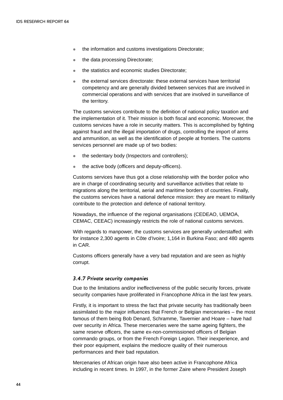- the information and customs investigations Directorate;
- $\bullet$  the data processing Directorate;
- $\bullet$  the statistics and economic studies Directorate;
- the external services directorate: these external services have territorial competency and are generally divided between services that are involved in commercial operations and with services that are involved in surveillance of the territory.

The customs services contribute to the definition of national policy taxation and the implementation of it. Their mission is both fiscal and economic. Moreover, the customs services have a role in security matters. This is accomplished by fighting against fraud and the illegal importation of drugs, controlling the import of arms and ammunition, as well as the identification of people at frontiers. The customs services personnel are made up of two bodies:

- the sedentary body (Inspectors and controllers);
- $\bullet$  the active body (officers and deputy-officers).

Customs services have thus got a close relationship with the border police who are in charge of coordinating security and surveillance activities that relate to migrations along the territorial, aerial and maritime borders of countries. Finally, the customs services have a national defence mission: they are meant to militarily contribute to the protection and defence of national territory.

Nowadays, the influence of the regional organisations (CEDEAO, UEMOA, CEMAC, CEEAC) increasingly restricts the role of national customs services.

With regards to manpower, the customs services are generally understaffed: with for instance 2,300 agents in Côte d'Ivoire; 1,164 in Burkina Faso; and 480 agents in CAR.

Customs officers generally have a very bad reputation and are seen as highly corrupt.

#### *3.4.7 Private security companies*

Due to the limitations and/or ineffectiveness of the public security forces, private security companies have proliferated in Francophone Africa in the last few years.

Firstly, it is important to stress the fact that private security has traditionally been assimilated to the major influences that French or Belgian mercenaries – the most famous of them being Bob Denard, Schramme, Tavernier and Hoare – have had over security in Africa. These mercenaries were the same ageing fighters, the same reserve officers, the same ex-non-commissioned officers of Belgian commando groups, or from the French Foreign Legion. Their inexperience, and their poor equipment, explains the mediocre quality of their numerous performances and their bad reputation.

Mercenaries of African origin have also been active in Francophone Africa including in recent times. In 1997, in the former Zaire where President Joseph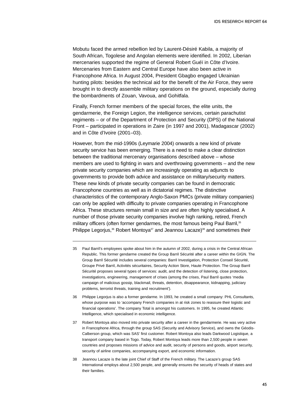Mobutu faced the armed rebellion led by Laurent-Désiré Kabila, a majority of South African, Togolese and Angolan elements were identified. In 2002, Liberian mercenaries supported the regime of General Robert Guéï in Côte d'Ivoire. Mercenaries from Eastern and Central Europe have also been active in Francophone Africa. In August 2004, President Gbagbo engaged Ukrainian hunting pilots: besides the technical aid for the benefit of the Air Force, they were brought in to directly assemble military operations on the ground, especially during the bombardments of Zouan, Vavoua, and Gohitfala.

Finally, French former members of the special forces, the elite units, the gendarmerie, the Foreign Legion, the intelligence services, certain parachutist regiments – or of the Department of Protection and Security (DPS) of the National Front – participated in operations in Zaire (in 1997 and 2001), Madagascar (2002) and in Côte d'Ivoire (2001–03).

However, from the mid-1990s (Leymarie 2004) onwards a new kind of private security service has been emerging. There is a need to make a clear distinction between the traditional mercenary organisations described above – whose members are used to fighting in wars and overthrowing governments – and the new private security companies which are increasingly operating as adjuncts to governments to provide both advice and assistance on military/security matters. These new kinds of private security companies can be found in democratic Francophone countries as well as in dictatorial regimes. The distinctive characteristics of the contemporary Anglo-Saxon PMCs (private military companies) can only be applied with difficulty to private companies operating in Francophone Africa. These structures remain small in size and are often highly specialised. A number of those private security companies involve high ranking, retired, French military officers (often former gendarmes, the most famous being Paul Barril,<sup>35</sup> Philippe Legorjus, $36$  Robert Montoya<sup>37</sup> and Jeannou Lacaze)<sup>38</sup> and sometimes their

- 35 Paul Barril's employees spoke about him in the autumn of 2002, during a crisis in the Central African Republic. This former gendarme created the Group Barril Sécurité after a career within the GIGN. The Group Barril Sécurité includes several companies: Barril Investigation, Protection Conseil Sécurité, Groupe Privé Barril, Activités sécuritaires, Security Action Store, Haute Protection. The Group Barril Sécurité proposes several types of services: audit, and the detection of listening, close protection, investigations, engineering, management of crises (among the crises, Paul Barril quotes 'media campaign of malicious gossip, blackmail, threats, detention, disappearance, kidnapping, judiciary problems, terrorist threats, training and recruitment').
- 36 Philippe Legorjus is also a former gendarme. In 1993, he created a small company: PHL Consultants, whose purpose was to 'accompany French companies in at risk zones to reassure their logistic and financial operations'. The company Total is amongst his customers. In 1995, he created Atlantic Intelligence, which specialised in economic intelligence.
- 37 Robert Montoya also moved into private security after a career in the gendarmerie. He was very active in Francophone Africa, through the group SAS (Security and Advisory Service), and owns the Géodis-Calberson group, which was SAS' first customer. Robert Montoya also leads Darkwood Logistique, a transport company based in Togo. Today, Robert Montoya leads more than 2,500 people in seven countries and proposes missions of advice and audit, security of persons and goods, airport security, security of airline companies, accompanying export, and economic information.
- 38 Jeannou Lacaze is the late joint Chief of Staff of the French military. The Lacaze's group SAS International employs about 2,500 people, and generally ensures the security of heads of states and their families.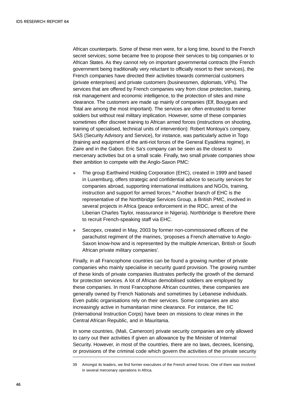African counterparts. Some of these men were, for a long time, bound to the French secret services; some became free to propose their services to big companies or to African States. As they cannot rely on important governmental contracts (the French government being traditionally very reluctant to officially resort to their services), the French companies have directed their activities towards commercial customers (private enterprises) and private customers (businessmen, diplomats, VIPs). The services that are offered by French companies vary from close protection, training, risk management and economic intelligence, to the protection of sites and mine clearance. The customers are made up mainly of companies (Elf, Bouygues and Total are among the most important). The services are often entrusted to former soldiers but without real military implication. However, some of these companies sometimes offer discreet training to African armed forces (instructions on shooting, training of specialised, technical units of intervention): Robert Montoya's company, SAS (Security Advisory and Service), for instance, was particularly active in Togo (training and equipment of the anti-riot forces of the General Eyadéma regime), in Zaire and in the Gabon. Eric Sa's company can be seen as the closest to mercenary activities but on a small scale. Finally, two small private companies show their ambition to compete with the Anglo-Saxon PMC:

- The group Earthwind Holding Corporation (EHC), created in 1999 and based in Luxemburg, offers strategic and confidential advice to security services for companies abroad, supporting international institutions and NGOs, training, instruction and support for armed forces.<sup>39</sup> Another branch of EHC is the representative of the Northbridge Services Group, a British PMC, involved in several projects in Africa (peace enforcement in the RDC, arrest of the Liberian Charles Taylor, reassurance in Nigeria). Northbridge is therefore there to recruit French-speaking staff via EHC.
- Secopex, created in May, 2003 by former non-commissioned officers of the parachutist regiment of the marines, 'proposes a French alternative to Anglo-Saxon know-how and is represented by the multiple American, British or South African private military companies'.

Finally, in all Francophone countries can be found a growing number of private companies who mainly specialise in security guard provision. The growing number of these kinds of private companies illustrates perfectly the growth of the demand for protection services. A lot of African demobilised soldiers are employed by these companies. In most Francophone African countries, these companies are generally owned by French Nationals and sometimes by Lebanese individuals. Even public organisations rely on their services. Some companies are also increasingly active in humanitarian mine clearance. For instance, the IIC (International Instruction Corps) have been on missions to clear mines in the Central African Republic, and in Mauritania.

In some countries, (Mali, Cameroon) private security companies are only allowed to carry out their activities if given an allowance by the Minister of Internal Security. However, in most of the countries, there are no laws, decrees, licensing, or provisions of the criminal code which govern the activities of the private security

<sup>39</sup> Amongst its leaders, we find former executives of the French armed forces. One of them was involved in several mercenary operations in Africa.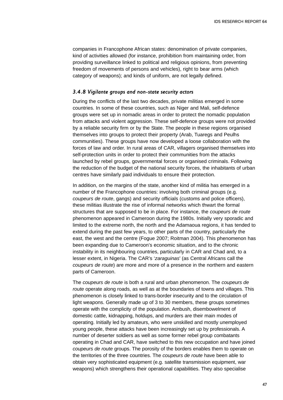companies in Francophone African states: denomination of private companies, kind of activities allowed (for instance, prohibition from maintaining order, from providing surveillance linked to political and religious opinions, from preventing freedom of movements of persons and vehicles), right to bear arms (which category of weapons); and kinds of uniform, are not legally defined.

#### *3.4.8 Vigilante groups and non-state security actors*

During the conflicts of the last two decades, private militias emerged in some countries. In some of these countries, such as Niger and Mali, self-defence groups were set up in nomadic areas in order to protect the nomadic population from attacks and violent aggression. These self-defence groups were not provided by a reliable security firm or by the State. The people in these regions organised themselves into groups to protect their property (Arab, Tuaregs and Peulhs communities). These groups have now developed a loose collaboration with the forces of law and order. In rural areas of CAR, villagers organised themselves into self-protection units in order to protect their communities from the attacks launched by rebel groups, governmental forces or organised criminals. Following the reduction of the budget of the national security forces, the inhabitants of urban centres have similarly paid individuals to ensure their protection.

In addition, on the margins of the state, another kind of militia has emerged in a number of the Francophone countries: involving both criminal groups (e.g. *coupeurs de route*, gangs) and security officials (customs and police officers), these militias illustrate the rise of informal networks which thwart the formal structures that are supposed to be in place. For instance, the *coupeurs de route* phenomenon appeared in Cameroon during the 1980s. Initially very sporadic and limited to the extreme north, the north and the Adamaoua regions, it has tended to extend during the past few years, to other parts of the country, particularly the east, the west and the centre (Fogue 2007; Roitman 2004). This phenomenon has been expanding due to Cameroon's economic situation, and to the chronic instability in its neighbouring countries, particularly in CAR and Chad and, to a lesser extent, in Nigeria. The CAR's '*zaraguinas*' (as Central Africans call the *coupeurs de route*) are more and more of a presence in the northern and eastern parts of Cameroon.

The *coupeurs de route* is both a rural and urban phenomenon. The *coupeurs de route* operate along roads, as well as at the boundaries of towns and villages. This phenomenon is closely linked to trans-border insecurity and to the circulation of light weapons. Generally made up of 3 to 30 members, these groups sometimes operate with the complicity of the population. Ambush, disembowelment of domestic cattle, kidnapping, holdups, and murders are their main modes of operating. Initially led by amateurs, who were unskilled and mostly unemployed young people, these attacks have been increasingly set up by professionals. A number of deserter soldiers as well as some former rebel group combatants operating in Chad and CAR, have switched to this new occupation and have joined *coupeurs de route* groups. The porosity of the borders enables them to operate on the territories of the three countries. The *coupeurs de route* have been able to obtain very sophisticated equipment (e.g. satellite transmission equipment, war weapons) which strengthens their operational capabilities. They also specialise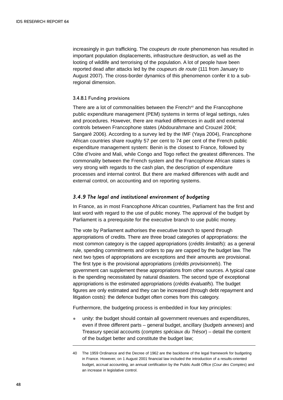increasingly in gun trafficking. The *coupeurs de route* phenomenon has resulted in important population displacements, infrastructure destruction, as well as the looting of wildlife and terrorising of the population. A lot of people have been reported dead after attacks led by the *coupeurs de route* (111 from January to August 2007). The cross-border dynamics of this phenomenon confer it to a subregional dimension.

#### 3.4.8.1 Funding provisions

There are a lot of commonalities between the French<sup>40</sup> and the Francophone public expenditure management (PEM) systems in terms of legal settings, rules and procedures. However, there are marked differences in audit and external controls between Francophone states (Abdourahmane and Crouzel 2004; Sangaré 2006). According to a survey led by the IMF (Yaya 2004), Francophone African countries share roughly 57 per cent to 74 per cent of the French public expenditure management system: Benin is the closest to France, followed by Côte d'Ivoire and Mali, while Congo and Togo reflect the greatest differences. The commonality between the French system and the Francophone African states is very strong with regards to the cash plan, the description of expenditure processes and internal control. But there are marked differences with audit and external control, on accounting and on reporting systems.

## *3.4.9 The legal and institutional environment of budgeting*

In France, as in most Francophone African countries, Parliament has the first and last word with regard to the use of public money. The approval of the budget by Parliament is a prerequisite for the executive branch to use public money.

The vote by Parliament authorises the executive branch to spend through appropriations of credits. There are three broad categories of appropriations: the most common category is the capped appropriations (*crédits limitatifs*): as a general rule, spending commitments and orders to pay are capped by the budget law. The next two types of appropriations are exceptions and their amounts are provisional. The first type is the provisional appropriations (*crédits provisionnels*). The government can supplement these appropriations from other sources. A typical case is the spending necessitated by natural disasters. The second type of exceptional appropriations is the estimated appropriations (*crédits évaluatifs*). The budget figures are only estimated and they can be increased (through debt repayment and litigation costs): the defence budget often comes from this category.

Furthermore, the budgeting process is embedded in four key principles:

unity: the budget should contain all government revenues and expenditures, even if three different parts – general budget, ancillary (*budgets annexes*) and Treasury special accounts (*comptes spéciaux du Trésor*) – detail the content of the budget better and constitute the budget law;

<sup>40</sup> The 1959 Ordinance and the Decree of 1962 are the backbone of the legal framework for budgeting in France. However, on 1 August 2001 financial law included the introduction of a results-oriented budget, accrual accounting, an annual certification by the Public Audit Office (*Cour des Comptes*) and an increase in legislative control.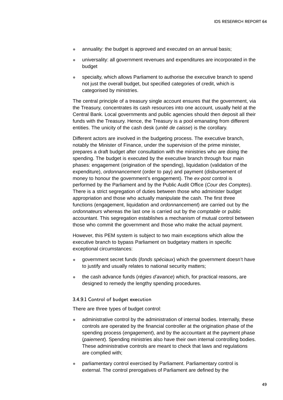- $\bullet$  annuality: the budget is approved and executed on an annual basis;
- $\bullet$  universality: all government revenues and expenditures are incorporated in the budget
- $\bullet$  specialty, which allows Parliament to authorise the executive branch to spend not just the overall budget, but specified categories of credit, which is categorised by ministries.

The central principle of a treasury single account ensures that the government, via the Treasury, concentrates its cash resources into one account, usually held at the Central Bank. Local governments and public agencies should then deposit all their funds with the Treasury. Hence, the Treasury is a pool emanating from different entities. The unicity of the cash desk (*unité de caisse*) is the corollary.

Different actors are involved in the budgeting process. The executive branch, notably the Minister of Finance, under the supervision of the prime minister, prepares a draft budget after consultation with the ministries who are doing the spending. The budget is executed by the executive branch through four main phases: engagement (origination of the spending), liquidation (validation of the expenditure), *ordonnancement* (order to pay) and payment (disbursement of money to honour the government's engagement). The *ex-post* control is performed by the Parliament and by the Public Audit Office (*Cour des Comptes*). There is a strict segregation of duties between those who administer budget appropriation and those who actually manipulate the cash. The first three functions (engagement, liquidation and *ordonnancement*) are carried out by the *ordonnateurs* whereas the last one is carried out by the *comptable* or public accountant. This segregation establishes a mechanism of mutual control between those who commit the government and those who make the actual payment.

However, this PEM system is subject to two main exceptions which allow the executive branch to bypass Parliament on budgetary matters in specific exceptional circumstances:

- **EXEC** government secret funds (*fonds spéciaux*) which the government doesn't have to justify and usually relates to national security matters;
- the cash advance funds (*régies d'avance*) which, for practical reasons, are designed to remedy the lengthy spending procedures.

#### 3.4.9.1 Control of budget execution

There are three types of budget control:

- $\bullet$  administrative control by the administration of internal bodies. Internally, these controls are operated by the financial controller at the origination phase of the spending process (*engagement*), and by the accountant at the payment phase (*paiement*). Spending ministries also have their own internal controlling bodies. These administrative controls are meant to check that laws and regulations are complied with;
- parliamentary control exercised by Parliament. Parliamentary control is external. The control prerogatives of Parliament are defined by the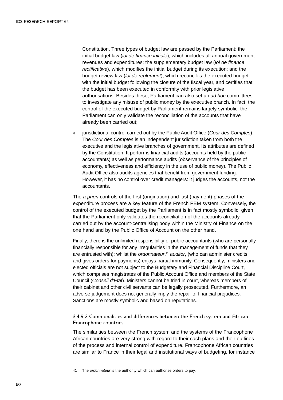Constitution. Three types of budget law are passed by the Parliament: the initial budget law (*loi de finance initiale*), which includes all annual government revenues and expenditures; the supplementary budget law (*loi de finance rectificative*), which modifies the initial budget during its execution; and the budget review law (*loi de règlement*), which reconciles the executed budget with the initial budget following the closure of the fiscal year, and certifies that the budget has been executed in conformity with prior legislative authorisations. Besides these, Parliament can also set up *ad hoc* committees to investigate any misuse of public money by the executive branch. In fact, the control of the executed budget by Parliament remains largely symbolic: the Parliament can only validate the reconciliation of the accounts that have already been carried out;

jurisdictional control carried out by the Public Audit Office (*Cour des Comptes*). The *Cour des Comptes* is an independent jurisdiction taken from both the executive and the legislative branches of government. Its attributes are defined by the Constitution. It performs financial audits (accounts held by the public accountants) as well as performance audits (observance of the principles of economy, effectiveness and efficiency in the use of public money). The Public Audit Office also audits agencies that benefit from government funding. However, it has no control over credit managers: it judges the accounts, not the accountants.

The *a priori* controls of the first (origination) and last (payment) phases of the expenditure process are a key feature of the French PEM system. Conversely, the control of the executed budget by the Parliament is in fact mostly symbolic, given that the Parliament only validates the reconciliation of the accounts already carried out by the account-centralising body within the Ministry of Finance on the one hand and by the Public Office of Account on the other hand.

Finally, there is the unlimited responsibility of public accountants (who are personally financially responsible for any irregularities in the management of funds that they are entrusted with); whilst the *ordonnateur*, <sup>41</sup> *auditor*, (who can administer credits and gives orders for payments) enjoys partial immunity. Consequently, ministers and elected officials are not subject to the Budgetary and Financial Discipline Court, which comprises magistrates of the Public Account Office and members of the State Council (*Conseil d'Etat*). Ministers cannot be tried in court, whereas members of their cabinet and other civil servants can be legally prosecuted. Furthermore, an adverse judgement does not generally imply the repair of financial prejudices. Sanctions are mostly symbolic and based on reputations.

3.4.9.2 Commonalities and differences between the French system and African Francophone countries

The similarities between the French system and the systems of the Francophone African countries are very strong with regard to their cash plans and their outlines of the process and internal control of expenditure. Francophone African countries are similar to France in their legal and institutional ways of budgeting, for instance

<sup>41</sup> The *ordonnateur* is the authority which can authorise orders to pay.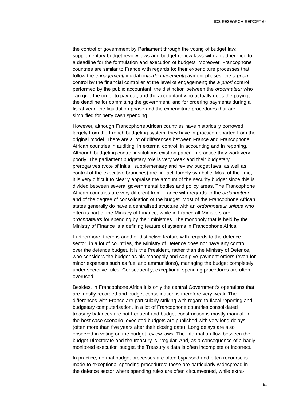the control of government by Parliament through the voting of budget law; supplementary budget review laws and budget review laws with an adherence to a deadline for the formulation and execution of budgets. Moreover, Francophone countries are similar to France with regards to: their expenditure processes that follow the *engagement*/liquidation/*ordonnacement*/payment phases; the *a priori* control by the financial controller at the level of engagement; the *a priori* control performed by the public accountant; the distinction between the *ordonnateur* who can give the order to pay out, and the accountant who actually does the paying; the deadline for committing the government, and for ordering payments during a fiscal year; the liquidation phase and the expenditure procedures that are simplified for petty cash spending.

However, although Francophone African countries have historically borrowed largely from the French budgeting system, they have in practice departed from the original model. There are a lot of differences between France and Francophone African countries in auditing, in external control, in accounting and in reporting. Although budgeting control institutions exist on paper, in practice they work very poorly. The parliament budgetary role is very weak and their budgetary prerogatives (vote of initial, supplementary and review budget laws, as well as control of the executive branches) are, in fact, largely symbolic. Most of the time, it is very difficult to clearly appraise the amount of the security budget since this is divided between several governmental bodies and policy areas. The Francophone African countries are very different from France with regards to the *ordonnateur* and of the degree of consolidation of the budget. Most of the Francophone African states generally do have a centralised structure with an *ordonnnateur unique* who often is part of the Ministry of Finance, while in France all Ministers are *ordonnateurs* for spending by their ministries. The monopoly that is held by the Ministry of Finance is a defining feature of systems in Francophone Africa.

Furthermore, there is another distinctive feature with regards to the defence sector: in a lot of countries, the Ministry of Defence does not have any control over the defence budget. It is the President, rather than the Ministry of Defence, who considers the budget as his monopoly and can give payment orders (even for minor expenses such as fuel and ammunitions), managing the budget completely under secretive rules. Consequently, exceptional spending procedures are often overused.

Besides, in Francophone Africa it is only the central Government's operations that are mostly recorded and budget consolidation is therefore very weak. The differences with France are particularly striking with regard to fiscal reporting and budgetary computerisation. In a lot of Francophone countries consolidated treasury balances are not frequent and budget construction is mostly manual. In the best case scenario, executed budgets are published with very long delays (often more than five years after their closing date). Long delays are also observed in voting on the budget review laws. The information flow between the budget Directorate and the treasury is irregular. And, as a consequence of a badly monitored execution budget, the Treasury's data is often incomplete or incorrect.

In practice, normal budget processes are often bypassed and often recourse is made to exceptional spending procedures: these are particularly widespread in the defence sector where spending rules are often circumvented, while extra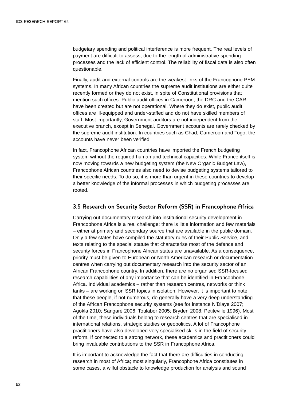budgetary spending and political interference is more frequent. The real levels of payment are difficult to assess, due to the length of administrative spending processes and the lack of efficient control. The reliability of fiscal data is also often questionable.

Finally, audit and external controls are the weakest links of the Francophone PEM systems. In many African countries the supreme audit institutions are either quite recently formed or they do not exist, in spite of Constitutional provisions that mention such offices. Public audit offices in Cameroon, the DRC and the CAR have been created but are not operational. Where they do exist, public audit offices are ill-equipped and under-staffed and do not have skilled members of staff. Most importantly, Government auditors are not independent from the executive branch, except in Senegal. Government accounts are rarely checked by the supreme audit institution. In countries such as Chad, Cameroon and Togo, the accounts have never been verified.

In fact, Francophone African countries have imported the French budgeting system without the required human and technical capacities. While France itself is now moving towards a new budgeting system (the New Organic Budget Law), Francophone African countries also need to devise budgeting systems tailored to their specific needs. To do so, it is more than urgent in these countries to develop a better knowledge of the informal processes in which budgeting processes are rooted.

## **3.5 Research on Security Sector Reform (SSR) in Francophone Africa**

Carrying out documentary research into institutional security development in Francophone Africa is a real challenge: there is little information and few materials – either at primary and secondary source that are available in the public domain. Only a few states have compiled the statutory rules of their Public Service, and texts relating to the special statute that characterise most of the defence and security forces in Francophone African states are unavailable. As a consequence, priority must be given to European or North American research or documentation centres when carrying out documentary research into the security sector of an African Francophone country. In addition, there are no organised SSR-focused research capabilities of any importance that can be identified in Francophone Africa. Individual academics – rather than research centres, networks or think tanks – are working on SSR topics in isolation. However, it is important to note that these people, if not numerous, do generally have a very deep understanding of the African Francophone security systems (see for instance N'Diaye 2007; Agokla 2010; Sangaré 2006; Toulabor 2005; Bryden 2008; Petiteville 1996). Most of the time, these individuals belong to research centres that are specialised in international relations, strategic studies or geopolitics. A lot of Francophone practitioners have also developed very specialised skills in the field of security reform. If connected to a strong network, these academics and practitioners could bring invaluable contributions to the SSR in Francophone Africa.

It is important to acknowledge the fact that there are difficulties in conducting research in most of Africa; most singularly, Francophone Africa constitutes in some cases, a wilful obstacle to knowledge production for analysis and sound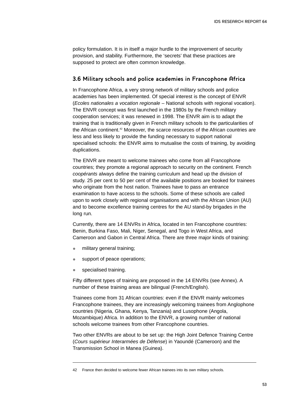policy formulation. It is in itself a major hurdle to the improvement of security provision, and stability. Furthermore, the 'secrets' that these practices are supposed to protect are often common knowledge.

## **3.6 Military schools and police academies in Francophone Africa**

In Francophone Africa, a very strong network of military schools and police academies has been implemented. Of special interest is the concept of ENVR (*Ecoles nationales a vocation regionale* – National schools with regional vocation). The ENVR concept was first launched in the 1980s by the French military cooperation services; it was renewed in 1998. The ENVR aim is to adapt the training that is traditionally given in French military schools to the particularities of the African continent.<sup>42</sup> Moreover, the scarce resources of the African countries are less and less likely to provide the funding necessary to support national specialised schools: the ENVR aims to mutualise the costs of training, by avoiding duplications.

The ENVR are meant to welcome trainees who come from all Francophone countries; they promote a regional approach to security on the continent. French *coopérants* always define the training curriculum and head up the division of study. 25 per cent to 50 per cent of the available positions are booked for trainees who originate from the host nation. Trainees have to pass an entrance examination to have access to the schools. Some of these schools are called upon to work closely with regional organisations and with the African Union (AU) and to become excellence training centres for the AU stand-by brigades in the long run.

Currently, there are 14 ENVRs in Africa, located in ten Francophone countries: Benin, Burkina Faso, Mali, Niger, Senegal, and Togo in West Africa, and Cameroon and Gabon in Central Africa. There are three major kinds of training:

- $\bullet$  military general training;
- support of peace operations;
- $\bullet$  specialised training.

Fifty different types of training are proposed in the 14 ENVRs (see Annex). A number of these training areas are bilingual (French/English).

Trainees come from 31 African countries: even if the ENVR mainly welcomes Francophone trainees, they are increasingly welcoming trainees from Anglophone countries (Nigeria, Ghana, Kenya, Tanzania) and Lusophone (Angola, Mozambique) Africa. In addition to the ENVR, a growing number of national schools welcome trainees from other Francophone countries.

Two other ENVRs are about to be set up: the High Joint Defence Training Centre (*Cours supérieur Interarmées de Défense*) in Yaoundé (Cameroon) and the Transmission School in Manea (Guinea).

<sup>42</sup> France then decided to welcome fewer African trainees into its own military schools.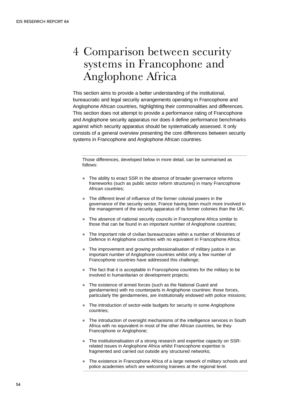# 4 Comparison between security systems in Francophone and Anglophone Africa

This section aims to provide a better understanding of the institutional, bureaucratic and legal security arrangements operating in Francophone and Anglophone African countries, highlighting their commonalities and differences. This section does not attempt to provide a performance rating of Francophone and Anglophone security apparatus nor does it define performance benchmarks against which security apparatus should be systematically assessed. It only consists of a general overview presenting the core differences between security systems in Francophone and Anglophone African countries.

Those differences, developed below in more detail, can be summarised as follows:

- The ability to enact SSR in the absence of broader governance reforms frameworks (such as public sector reform structures) in many Francophone African countries;
- The different level of influence of the former colonial powers in the governance of the security sector, France having been much more involved in the management of the security apparatus of its former colonies than the UK;
- The absence of national security councils in Francophone Africa similar to those that can be found in an important number of Anglophone countries;
- The important role of civilian bureaucracies within a number of Ministries of Defence in Anglophone countries with no equivalent in Francophone Africa;
- The improvement and growing professionalisation of military justice in an important number of Anglophone countries whilst only a few number of Francophone countries have addressed this challenge;
- The fact that it is acceptable in Francophone countries for the military to be involved in humanitarian or development projects;
- The existence of armed forces (such as the National Guard and gendarmeries) with no counterparts in Anglophone countries: those forces, particularly the gendarmeries, are institutionally endowed with police missions;
- The introduction of sector-wide budgets for security in some Anglophone countries;
- The introduction of oversight mechanisms of the intelligence services in South Africa with no equivalent in most of the other African countries, be they Francophone or Anglophone;
- The institutionalisation of a strong research and expertise capacity on SSRrelated issues in Anglophone Africa whilst Francophone expertise is fragmented and carried out outside any structured networks;
- The existence in Francophone Africa of a large network of military schools and police academies which are welcoming trainees at the regional level.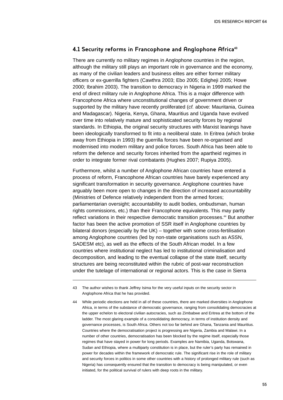## **4.1 Security reforms in Francophone and Anglophone Africa43**

There are currently no military regimes in Anglophone countries in the region, although the military still plays an important role in governance and the economy, as many of the civilian leaders and business elites are either former military officers or ex-guerrilla fighters (Cawthra 2003; Ebo 2005; Edigheji 2005; Howe 2000; Ibrahim 2003). The transition to democracy in Nigeria in 1999 marked the end of direct military rule in Anglophone Africa. This is a major difference with Francophone Africa where unconstitutional changes of government driven or supported by the military have recently proliferated (*cf.* above: Mauritania, Guinea and Madagascar). Nigeria, Kenya, Ghana, Mauritius and Uganda have evolved over time into relatively mature and sophisticated security forces by regional standards. In Ethiopia, the original security structures with Marxist leanings have been ideologically transformed to fit into a neoliberal state. In Eritrea (which broke away from Ethiopia in 1993) the guerrilla forces have been re-organised and modernised into modern military and police forces. South Africa has been able to reform the defence and security forces inherited from the apartheid regimes in order to integrate former rival combatants (Hughes 2007; Rupiya 2005).

Furthermore, whilst a number of Anglophone African countries have entered a process of reform, Francophone African countries have barely experienced any significant transformation in security governance. Anglophone countries have arguably been more open to changes in the direction of increased accountability (Ministries of Defence relatively independent from the armed forces; parliamentarian oversight; accountability to audit bodies, ombudsman, human rights commissions, etc.) than their Francophone equivalents. This may partly reflect variations in their respective democratic transition processes.<sup>44</sup> But another factor has been the active promotion of SSR itself in Anglophone countries by bilateral donors (especially by the UK) – together with some cross-fertilisation among Anglophone countries (led by non-state organisations such as ASSN, SADESM etc), as well as the effects of the South African model. In a few countries where institutional neglect has led to institutional criminalisation and decomposition, and leading to the eventual collapse of the state itself, security structures are being reconstituted within the rubric of post-war reconstruction under the tutelage of international or regional actors. This is the case in Sierra

<sup>43</sup> The author wishes to thank Jeffrey Isima for the very useful inputs on the security sector in Anglophone Africa that he has provided.

<sup>44</sup> While periodic elections are held in all of these countries, there are marked diversities in Anglophone Africa, in terms of the substance of democratic governance, ranging from consolidating democracies at the upper echelon to electoral civilian autocracies, such as Zimbabwe and Eritrea at the bottom of the ladder. The most glaring example of a consolidating democracy, in terms of institution density and governance processes, is South Africa. Others not too far behind are Ghana, Tanzania and Mauritius. Countries where the democratisation project is progressing are Nigeria, Zambia and Malawi. In a number of other countries, democratisation has been blocked by the regime itself, especially those regimes that have stayed in power for long periods. Examples are Namibia, Uganda, Botswana, Sudan and Ethiopia, where a multiparty constitution is in place, but the ruler's party has remained in power for decades within the framework of democratic rule. The significant rise in the role of military and security forces in politics in some other countries with a history of prolonged military rule (such as Nigeria) has consequently ensured that the transition to democracy is being manipulated, or even initiated, for the political survival of rulers with deep roots in the military.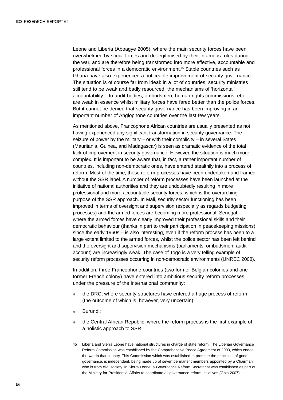Leone and Liberia (Aboagye 2005), where the main security forces have been overwhelmed by social forces and de-legitimised by their infamous roles during the war, and are therefore being transformed into more effective, accountable and professional forces in a democratic environment.45 Stable countries such as Ghana have also experienced a noticeable improvement of security governance. The situation is of course far from ideal: in a lot of countries, security ministries still tend to be weak and badly resourced; the mechanisms of 'horizontal' accountability – to audit bodies, ombudsmen, human rights commissions, etc. – are weak in essence whilst military forces have fared better than the police forces. But it cannot be denied that security governance has been improving in an important number of Anglophone countries over the last few years.

As mentioned above, Francophone African countries are usually presented as not having experienced any significant transformation in security governance. The seizure of power by the military  $-$  or with their complicity  $-$  in several States (Mauritania, Guinea, and Madagascar) is seen as dramatic evidence of the total lack of improvement in security governance. However, the situation is much more complex. It is important to be aware that, in fact, a rather important number of countries, including non-democratic ones, have entered stealthily into a process of reform. Most of the time, these reform processes have been undertaken and framed without the SSR label. A number of reform processes have been launched at the initiative of national authorities and they are undoubtedly resulting in more professional and more accountable security forces, which is the overarching purpose of the SSR approach. In Mali, security sector functioning has been improved in terms of oversight and supervision (especially as regards budgeting processes) and the armed forces are becoming more professional. Senegal – where the armed forces have clearly improved their professional skills and their democratic behaviour (thanks in part to their participation in peacekeeping missions) since the early 1960s – is also interesting, even if the reform process has been to a large extent limited to the armed forces, whilst the police sector has been left behind and the oversight and supervision mechanisms (parliaments, ombudsmen, audit account) are increasingly weak. The case of Togo is a very telling example of security reform processes occurring in non-democratic environments (UNREC 2008).

In addition, three Francophone countries (two former Belgian colonies and one former French colony) have entered into ambitious security reform processes, under the pressure of the international community:

- $\bullet$  the DRC, where security structures have entered a huge process of reform (the outcome of which is, however, very uncertain);
- Burundi;
- the Central African Republic, where the reform process is the first example of a holistic approach to SSR.

<sup>45</sup> Liberia and Sierra Leone have national structures in charge of state reform. The Liberian Governance Reform Commission was established by the Comprehensive Peace Agreement of 2003, which ended the war in that country. This Commission which was established to promote the principles of good governance, is independent, being made up of seven permanent members appointed by a Chairman who is from civil society. In Sierra Leone, a Governance Reform Secretariat was established as part of the Ministry for Presidential Affairs to coordinate all governance reform initiatives (Gbla 2007).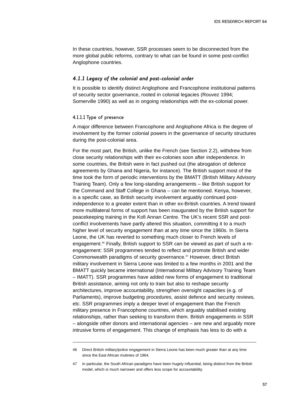In these countries, however, SSR processes seem to be disconnected from the more global public reforms, contrary to what can be found in some post-conflict Anglophone countries.

#### *4.1.1 Legacy of the colonial and post-colonial order*

It is possible to identify distinct Anglophone and Francophone institutional patterns of security sector governance, rooted in colonial legacies (Rouvez 1994; Somerville 1990) as well as in ongoing relationships with the ex-colonial power.

#### 4.1.1.1 Type of presence

A major difference between Francophone and Anglophone Africa is the degree of involvement by the former colonial powers in the governance of security structures during the post-colonial area.

For the most part, the British, unlike the French (see Section 2.2), withdrew from close security relationships with their ex-colonies soon after independence. In some countries, the British were in fact pushed out (the abrogation of defence agreements by Ghana and Nigeria, for instance). The British support most of the time took the form of periodic interventions by the BMATT (British Military Advisory Training Team). Only a few long-standing arrangements – like British support for the Command and Staff College in Ghana – can be mentioned. Kenya, however, is a specific case, as British security involvement arguably continued postindependence to a greater extent than in other ex-British countries. A trend toward more multilateral forms of support has been inaugurated by the British support for peacekeeping training in the Kofi Annan Centre. The UK's recent SSR and postconflict involvements have partly altered this situation, committing it to a much higher level of security engagement than at any time since the 1960s. In Sierra Leone, the UK has reverted to something much closer to French levels of engagement.46 Finally, British support to SSR can be viewed as part of such a reengagement: SSR programmes tended to reflect and promote British and wider Commonwealth paradigms of security governance.47 However, direct British military involvement in Sierra Leone was limited to a few months in 2001 and the BMATT quickly became international (International Military Advisory Training Team – IMATT). SSR programmes have added new forms of engagement to traditional British assistance, aiming not only to train but also to reshape security architectures, improve accountability, strengthen oversight capacities (e.g. of Parliaments), improve budgeting procedures, assist defence and security reviews, etc. SSR programmes imply a deeper level of engagement than the French military presence in Francophone countries, which arguably stabilised existing relationships, rather than seeking to transform them. British engagements in SSR – alongside other donors and international agencies – are new and arguably more intrusive forms of engagement. This change of emphasis has less to do with a

<sup>46</sup> Direct British military/police engagement in Sierra Leone has been much greater than at any time since the East African mutinies of 1964.

<sup>47</sup> In particular, the South African paradigms have been hugely influential, being distinct from the British model, which is much narrower and offers less scope for accountability.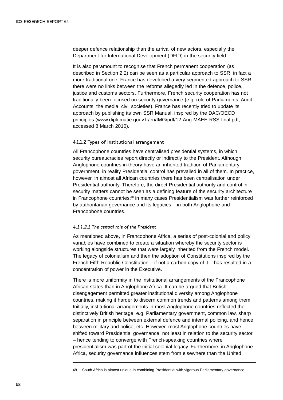deeper defence relationship than the arrival of new actors, especially the Department for International Development (DFID) in the security field.

It is also paramount to recognise that French permanent cooperation (as described in Section 2.2) can be seen as a particular approach to SSR, in fact a more traditional one. France has developed a very segmented approach to SSR; there were no links between the reforms allegedly led in the defence, police, justice and customs sectors. Furthermore, French security cooperation has not traditionally been focused on security governance (e.g. role of Parliaments, Audit Accounts, the media, civil societies). France has recently tried to update its approach by publishing its own SSR Manual, inspired by the DAC/OECD principles (www.diplomatie.gouv.fr/en/IMG/pdf/12-Ang-MAEE-RSS-final.pdf, accessed 8 March 2010).

#### 4.1.1.2 Types of institutional arrangement

All Francophone countries have centralised presidential systems, in which security bureaucracies report directly or indirectly to the President. Although Anglophone countries in theory have an inherited tradition of Parliamentary government, in reality Presidential control has prevailed in all of them. In practice, however, in almost all African countries there has been centralisation under Presidential authority. Therefore, the direct Presidential authority and control in security matters cannot be seen as a defining feature of the security architecture in Francophone countries:<sup>48</sup> in many cases Presidentialism was further reinforced by authoritarian governance and its legacies – in both Anglophone and Francophone countries.

#### *4.1.1.2.1 The central role of the President*

As mentioned above, in Francophone Africa, a series of post-colonial and policy variables have combined to create a situation whereby the security sector is working alongside structures that were largely inherited from the French model. The legacy of colonialism and then the adoption of Constitutions inspired by the French Fifth Republic Constitution – if not a carbon copy of it – has resulted in a concentration of power in the Executive.

There is more uniformity in the institutional arrangements of the Francophone African states than in Anglophone Africa. It can be argued that British disengagement permitted greater institutional diversity among Anglophone countries, making it harder to discern common trends and patterns among them. Initially, institutional arrangements in most Anglophone countries reflected the distinctively British heritage, e.g. Parliamentary government, common law, sharp separation in principle between external defence and internal policing, and hence between military and police, etc. However, most Anglophone countries have shifted toward Presidential governance, not least in relation to the security sector – hence tending to converge with French-speaking countries where presidentialism was part of the initial colonial legacy. Furthermore, in Anglophone Africa, security governance influences stem from elsewhere than the United

<sup>48</sup> South Africa is almost unique in combining Presidential with vigorous Parliamentary governance.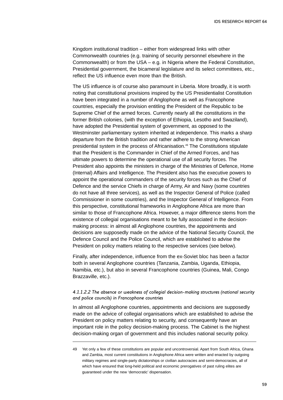Kingdom institutional tradition – either from widespread links with other Commonwealth countries (e.g. training of security personnel elsewhere in the Commonwealth) or from the USA – e.g. in Nigeria where the Federal Constitution, Presidential government, the bicameral legislature and its select committees, etc., reflect the US influence even more than the British.

The US influence is of course also paramount in Liberia. More broadly, it is worth noting that constitutional provisions inspired by the US Presidentialist Constitution have been integrated in a number of Anglophone as well as Francophone countries, especially the provision entitling the President of the Republic to be Supreme Chief of the armed forces. Currently nearly all the constitutions in the former British colonies, (with the exception of Ethiopia, Lesotho and Swaziland), have adopted the Presidential system of government, as opposed to the Westminster parliamentary system inherited at independence. This marks a sharp departure from the British tradition and rather adhere to the strong American presidential system in the process of Africanisation.<sup>49</sup> The Constitutions stipulate that the President is the Commander in Chief of the Armed Forces, and has ultimate powers to determine the operational use of all security forces. The President also appoints the ministers in charge of the Ministries of Defence, Home (Internal) Affairs and Intelligence. The President also has the executive powers to appoint the operational commanders of the security forces such as the Chief of Defence and the service Chiefs in charge of Army, Air and Navy (some countries do not have all three services), as well as the Inspector General of Police (called Commissioner in some countries), and the Inspector General of Intelligence. From this perspective, constitutional frameworks in Anglophone Africa are more than similar to those of Francophone Africa. However, a major difference stems from the existence of collegial organisations meant to be fully associated in the decisionmaking process: in almost all Anglophone countries, the appointments and decisions are supposedly made on the advice of the National Security Council, the Defence Council and the Police Council, which are established to advise the President on policy matters relating to the respective services (see below).

Finally, after independence, influence from the ex-Soviet bloc has been a factor both in several Anglophone countries (Tanzania, Zambia, Uganda, Ethiopia, Namibia, etc.), but also in several Francophone countries (Guinea, Mali, Congo Brazzaville, etc.).

#### *4.1.1.2.2 The absence or weakness of collegial decision-making structures (national security and police councils) in Francophone countries*

In almost all Anglophone countries, appointments and decisions are supposedly made on the advice of collegial organisations which are established to advise the President on policy matters relating to security, and consequently have an important role in the policy decision-making process. The Cabinet is the highest decision-making organ of government and this includes national security policy.

<sup>49</sup> Yet only a few of these constitutions are popular and uncontroversial. Apart from South Africa, Ghana and Zambia, most current constitutions in Anglophone Africa were written and enacted by outgoing military regimes and single-party dictatorships or civilian autocracies and semi-democracies, all of which have ensured that long-held political and economic prerogatives of past ruling elites are guaranteed under the new 'democratic' dispensation.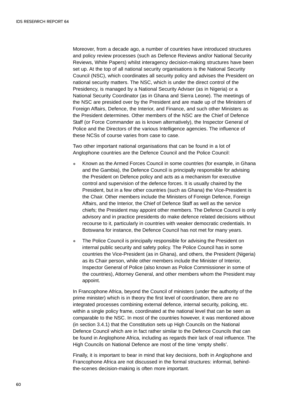Moreover, from a decade ago, a number of countries have introduced structures and policy review processes (such as Defence Reviews and/or National Security Reviews, White Papers) whilst interagency decision-making structures have been set up. At the top of all national security organisations is the National Security Council (NSC), which coordinates all security policy and advises the President on national security matters. The NSC, which is under the direct control of the Presidency, is managed by a National Security Adviser (as in Nigeria) or a National Security Coordinator (as in Ghana and Sierra Leone). The meetings of the NSC are presided over by the President and are made up of the Ministers of Foreign Affairs, Defence, the Interior, and Finance, and such other Ministers as the President determines. Other members of the NSC are the Chief of Defence Staff (or Force Commander as is known alternatively), the Inspector General of Police and the Directors of the various Intelligence agencies. The influence of these NCSs of course varies from case to case.

Two other important national organisations that can be found in a lot of Anglophone countries are the Defence Council and the Police Council:

- Known as the Armed Forces Council in some countries (for example, in Ghana and the Gambia), the Defence Council is principally responsible for advising the President on Defence policy and acts as a mechanism for executive control and supervision of the defence forces. It is usually chaired by the President, but in a few other countries (such as Ghana) the Vice-President is the Chair. Other members include the Ministers of Foreign Defence, Foreign Affairs, and the Interior, the Chief of Defence Staff as well as the service chiefs; the President may appoint other members. The Defence Council is only advisory and in practice presidents do make defence related decisions without recourse to it, particularly in countries with weaker democratic credentials. In Botswana for instance, the Defence Council has not met for many years.
- The Police Council is principally responsible for advising the President on internal public security and safety policy. The Police Council has in some countries the Vice-President (as in Ghana), and others, the President (Nigeria) as its Chair person, while other members include the Minister of Interior, Inspector General of Police (also known as Police Commissioner in some of the countries), Attorney General, and other members whom the President may appoint.

In Francophone Africa, beyond the Council of ministers (under the authority of the prime minister) which is in theory the first level of coordination, there are no integrated processes combining external defence, internal security, policing, etc. within a single policy frame, coordinated at the national level that can be seen as comparable to the NSC. In most of the countries however, it was mentioned above (in section 3.4.1) that the Constitution sets up High Councils on the National Defence Council which are in fact rather similar to the Defence Councils that can be found in Anglophone Africa, including as regards their lack of real influence. The High Councils on National Defence are most of the time 'empty shells'.

Finally, it is important to bear in mind that key decisions, both in Anglophone and Francophone Africa are not discussed in the formal structures: informal, behindthe-scenes decision-making is often more important.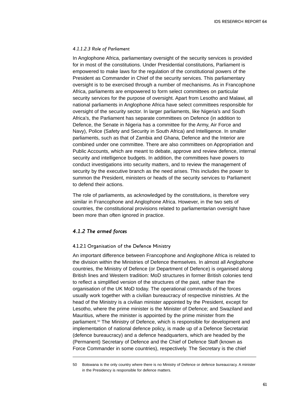#### *4.1.1.2.3 Role of Parliament*

In Anglophone Africa, parliamentary oversight of the security services is provided for in most of the constitutions. Under Presidential constitutions, Parliament is empowered to make laws for the regulation of the constitutional powers of the President as Commander in Chief of the security services. This parliamentary oversight is to be exercised through a number of mechanisms. As in Francophone Africa, parliaments are empowered to form select committees on particular security services for the purpose of oversight. Apart from Lesotho and Malawi, all national parliaments in Anglophone Africa have select committees responsible for oversight of the security sector. In larger parliaments, like Nigeria's and South Africa's, the Parliament has separate committees on Defence (in addition to Defence, the Senate in Nigeria has a committee for the Army, Air Force and Navy), Police (Safety and Security in South Africa) and Intelligence. In smaller parliaments, such as that of Zambia and Ghana, Defence and the Interior are combined under one committee. There are also committees on Appropriation and Public Accounts, which are meant to debate, approve and review defence, internal security and intelligence budgets. In addition, the committees have powers to conduct investigations into security matters, and to review the management of security by the executive branch as the need arises. This includes the power to summon the President, ministers or heads of the security services to Parliament to defend their actions.

The role of parliaments, as acknowledged by the constitutions, is therefore very similar in Francophone and Anglophone Africa. However, in the two sets of countries, the constitutional provisions related to parliamentarian oversight have been more than often ignored in practice.

#### *4.1.2 The armed forces*

#### 4.1.2.1 Organisation of the Defence Ministry

An important difference between Francophone and Anglophone Africa is related to the division within the Ministries of Defence themselves. In almost all Anglophone countries, the Ministry of Defence (or Department of Defence) is organised along British lines and Western tradition: MoD structures in former British colonies tend to reflect a simplified version of the structures of the past, rather than the organisation of the UK MoD today. The operational commands of the forces usually work together with a civilian bureaucracy of respective ministries. At the head of the Ministry is a civilian minister appointed by the President, except for Lesotho, where the prime minister is the Minister of Defence; and Swaziland and Mauritius, where the minister is appointed by the prime minister from the parliament.50 The Ministry of Defence, which is responsible for development and implementation of national defence policy, is made up of a Defence Secretariat (defence bureaucracy) and a defence headquarters, which are headed by the (Permanent) Secretary of Defence and the Chief of Defence Staff (known as Force Commander in some countries), respectively. The Secretary is the chief

<sup>50</sup> Botswana is the only country where there is no Ministry of Defence or defence bureaucracy. A minister in the Presidency is responsible for defence matters.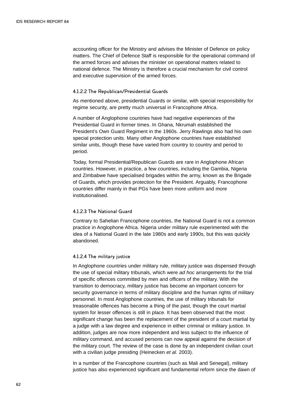accounting officer for the Ministry and advises the Minister of Defence on policy matters. The Chief of Defence Staff is responsible for the operational command of the armed forces and advises the minister on operational matters related to national defence. The Ministry is therefore a crucial mechanism for civil control and executive supervision of the armed forces.

#### 4.1.2.2 The Republican/Presidential Guards

As mentioned above, presidential Guards or similar, with special responsibility for regime security, are pretty much universal in Francophone Africa.

A number of Anglophone countries have had negative experiences of the Presidential Guard in former times. In Ghana, Nkrumah established the President's Own Guard Regiment in the 1960s. Jerry Rawlings also had his own special protection units. Many other Anglophone countries have established similar units, though these have varied from country to country and period to period.

Today, formal Presidential/Republican Guards are rare in Anglophone African countries. However, in practice, a few countries, including the Gambia, Nigeria and Zimbabwe have specialised brigades within the army, known as the Brigade of Guards, which provides protection for the President. Arguably, Francophone countries differ mainly in that PGs have been more uniform and more institutionalised.

#### 4.1.2.3 The National Guard

Contrary to Sahelian Francophone countries, the National Guard is not a common practice in Anglophone Africa. Nigeria under military rule experimented with the idea of a National Guard in the late 1980s and early 1990s, but this was quickly abandoned.

#### 4.1.2.4 The military justice

In Anglophone countries under military rule, military justice was dispensed through the use of special military tribunals, which were *ad hoc* arrangements for the trial of specific offences committed by men and officers of the military. With the transition to democracy, military justice has become an important concern for security governance in terms of military discipline and the human rights of military personnel. In most Anglophone countries, the use of military tribunals for treasonable offences has become a thing of the past, though the court martial system for lesser offences is still in place. It has been observed that the most significant change has been the replacement of the president of a court martial by a judge with a law degree and experience in either criminal or military justice. In addition, judges are now more independent and less subject to the influence of military command, and accused persons can now appeal against the decision of the military court. The review of the case is done by an independent civilian court with a civilian judge presiding (Heinecken *et al.* 2003).

In a number of the Francophone countries (such as Mali and Senegal), military justice has also experienced significant and fundamental reform since the dawn of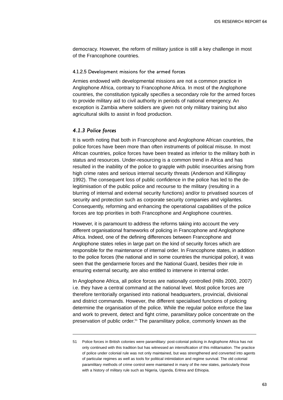democracy. However, the reform of military justice is still a key challenge in most of the Francophone countries.

#### 4.1.2.5 Development missions for the armed forces

Armies endowed with developmental missions are not a common practice in Anglophone Africa, contrary to Francophone Africa. In most of the Anglophone countries, the constitution typically specifies a secondary role for the armed forces to provide military aid to civil authority in periods of national emergency. An exception is Zambia where soldiers are given not only military training but also agricultural skills to assist in food production.

#### *4.1.3 Police forces*

It is worth noting that both in Francophone and Anglophone African countries, the police forces have been more than often instruments of political misuse. In most African countries, police forces have been treated as inferior to the military both in status and resources. Under-resourcing is a common trend in Africa and has resulted in the inability of the police to grapple with public insecurities arising from high crime rates and serious internal security threats (Anderson and Killingray 1992). The consequent loss of public confidence in the police has led to the delegitimisation of the public police and recourse to the military (resulting in a blurring of internal and external security functions) and/or to privatised sources of security and protection such as corporate security companies and vigilantes. Consequently, reforming and enhancing the operational capabilities of the police forces are top priorities in both Francophone and Anglophone countries.

However, it is paramount to address the reforms taking into account the very different organisational frameworks of policing in Francophone and Anglophone Africa. Indeed, one of the defining differences between Francophone and Anglophone states relies in large part on the kind of security forces which are responsible for the maintenance of internal order. In Francophone states, in addition to the police forces (the national and in some countries the municipal police), it was seen that the gendarmerie forces and the National Guard, besides their role in ensuring external security, are also entitled to intervene in internal order.

In Anglophone Africa, all police forces are nationally controlled (Hills 2000, 2007) i.e. they have a central command at the national level. Most police forces are therefore territorially organised into national headquarters, provincial, divisional and district commands. However, the different specialised functions of policing determine the organisation of the police. While the regular police enforce the law and work to prevent, detect and fight crime, paramilitary police concentrate on the preservation of public order.<sup>51</sup> The paramilitary police, commonly known as the

<sup>51</sup> Police forces in British colonies were paramilitary: post-colonial policing in Anglophone Africa has not only continued with this tradition but has witnessed an intensification of this militarisation. The practice of police under colonial rule was not only maintained, but was strengthened and converted into agents of particular regimes as well as tools for political intimidation and regime survival. The old colonial paramilitary methods of crime control were maintained in many of the new states, particularly those with a history of military rule such as Nigeria, Uganda, Eritrea and Ethiopia.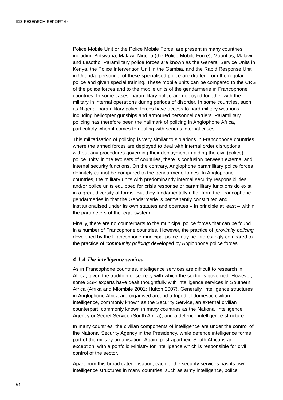Police Mobile Unit or the Police Mobile Force, are present in many countries, including Botswana, Malawi, Nigeria (the Police Mobile Force), Mauritius, Malawi and Lesotho. Paramilitary police forces are known as the General Service Units in Kenya, the Police Intervention Unit in the Gambia, and the Rapid Response Unit in Uganda: personnel of these specialised police are drafted from the regular police and given special training. These mobile units can be compared to the CRS of the police forces and to the mobile units of the gendarmerie in Francophone countries. In some cases, paramilitary police are deployed together with the military in internal operations during periods of disorder. In some countries, such as Nigeria, paramilitary police forces have access to hard military weapons, including helicopter gunships and armoured personnel carriers. Paramilitary policing has therefore been the hallmark of policing in Anglophone Africa, particularly when it comes to dealing with serious internal crises.

This militarisation of policing is very similar to situations in Francophone countries where the armed forces are deployed to deal with internal order disruptions without any procedures governing their deployment in aiding the civil (police) police units: in the two sets of countries, there is confusion between external and internal security functions. On the contrary, Anglophone paramilitary police forces definitely cannot be compared to the gendarmerie forces. In Anglophone countries, the military units with predominantly internal security responsibilities and/or police units equipped for crisis response or paramilitary functions do exist in a great diversity of forms. But they fundamentally differ from the Francophone gendarmeries in that the Gendarmerie is permanently constituted and institutionalised under its own statutes and operates – in principle at least – within the parameters of the legal system.

Finally, there are no counterparts to the municipal police forces that can be found in a number of Francophone countries. However, the practice of '*proximity policing*' developed by the Francophone municipal police may be interestingly compared to the practice of '*community policing*' developed by Anglophone police forces.

#### *4.1.4 The intelligence services*

As in Francophone countries, intelligence services are difficult to research in Africa, given the tradition of secrecy with which the sector is governed. However, some SSR experts have dealt thoughtfully with intelligence services in Southern Africa (Afrika and Mlombile 2001; Hutton 2007). Generally, intelligence structures in Anglophone Africa are organised around a tripod of domestic civilian intelligence, commonly known as the Security Service, an external civilian counterpart, commonly known in many countries as the National Intelligence Agency or Secret Service (South Africa); and a defence intelligence structure.

In many countries, the civilian components of intelligence are under the control of the National Security Agency in the Presidency, while defence intelligence forms part of the military organisation. Again, post-apartheid South Africa is an exception, with a portfolio Ministry for Intelligence which is responsible for civil control of the sector.

Apart from this broad categorisation, each of the security services has its own intelligence structures in many countries, such as army intelligence, police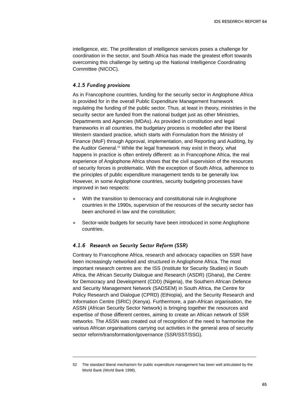intelligence, etc. The proliferation of intelligence services poses a challenge for coordination in the sector, and South Africa has made the greatest effort towards overcoming this challenge by setting up the National Intelligence Coordinating Committee (NICOC).

## *4.1.5 Funding provisions*

As in Francophone countries, funding for the security sector in Anglophone Africa is provided for in the overall Public Expenditure Management framework regulating the funding of the public sector. Thus, at least in theory, ministries in the security sector are funded from the national budget just as other Ministries, Departments and Agencies (MDAs). As provided in constitution and legal frameworks in all countries, the budgetary process is modelled after the liberal Western standard practice, which starts with Formulation from the Ministry of Finance (MoF) through Approval, implementation, and Reporting and Auditing, by the Auditor General.<sup>52</sup> While the legal framework may exist in theory, what happens in practice is often entirely different: as in Francophone Africa, the real experience of Anglophone Africa shows that the civil supervision of the resources of security forces is problematic. With the exception of South Africa, adherence to the principles of public expenditure management tends to be generally low. However, in some Anglophone countries, security budgeting processes have improved in two respects:

- With the transition to democracy and constitutional rule in Anglophone countries in the 1990s, supervision of the resources of the security sector has been anchored in law and the constitution;
- Sector-wide budgets for security have been introduced in some Anglophone countries.

## *4.1.6 Research on Security Sector Reform (SSR)*

Contrary to Francophone Africa, research and advocacy capacities on SSR have been increasingly networked and structured in Anglophone Africa. The most important research centres are: the ISS (Institute for Security Studies) in South Africa, the African Security Dialogue and Research (ASDR) (Ghana), the Centre for Democracy and Development (CDD) (Nigeria), the Southern African Defence and Security Management Network (SADSEM) in South Africa, the Centre for Policy Research and Dialogue (CPRD) (Ethiopia), and the Security Research and Information Centre (SRIC) (Kenya). Furthermore, a pan-African organisation, the ASSN (African Security Sector Network) is bringing together the resources and expertise of those different centres, aiming to create an African network of SSR networks. The ASSN was created out of recognition of the need to harmonise the various African organisations carrying out activities in the general area of security sector reform/transformation/governance (SSR/SST/SSG).

<sup>52</sup> The standard liberal mechanism for public expenditure management has been well articulated by the World Bank (World Bank 1998).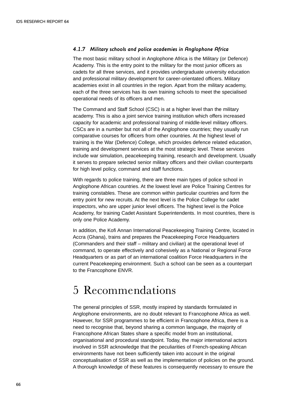## *4.1.7 Military schools and police academies in Anglophone Africa*

The most basic military school in Anglophone Africa is the Military (or Defence) Academy. This is the entry point to the military for the most junior officers as cadets for all three services, and it provides undergraduate university education and professional military development for career-orientated officers. Military academies exist in all countries in the region. Apart from the military academy, each of the three services has its own training schools to meet the specialised operational needs of its officers and men.

The Command and Staff School (CSC) is at a higher level than the military academy. This is also a joint service training institution which offers increased capacity for academic and professional training of middle-level military officers. CSCs are in a number but not all of the Anglophone countries; they usually run comparative courses for officers from other countries. At the highest level of training is the War (Defence) College, which provides defence related education, training and development services at the most strategic level. These services include war simulation, peacekeeping training, research and development. Usually it serves to prepare selected senior military officers and their civilian counterparts for high level policy, command and staff functions.

With regards to police training, there are three main types of police school in Anglophone African countries. At the lowest level are Police Training Centres for training constables. These are common within particular countries and form the entry point for new recruits. At the next level is the Police College for cadet inspectors, who are upper junior level officers. The highest level is the Police Academy, for training Cadet Assistant Superintendents. In most countries, there is only one Police Academy.

In addition, the Kofi Annan International Peacekeeping Training Centre, located in Accra (Ghana), trains and prepares the Peacekeeping Force Headquarters (Commanders and their staff – military and civilian) at the operational level of command, to operate effectively and cohesively as a National or Regional Force Headquarters or as part of an international coalition Force Headquarters in the current Peacekeeping environment. Such a school can be seen as a counterpart to the Francophone ENVR.

# 5 Recommendations

The general principles of SSR, mostly inspired by standards formulated in Anglophone environments, are no doubt relevant to Francophone Africa as well. However, for SSR programmes to be efficient in Francophone Africa, there is a need to recognise that, beyond sharing a common language, the majority of Francophone African States share a specific model from an institutional, organisational and procedural standpoint. Today, the major international actors involved in SSR acknowledge that the peculiarities of French-speaking African environments have not been sufficiently taken into account in the original conceptualisation of SSR as well as the implementation of policies on the ground. A thorough knowledge of these features is consequently necessary to ensure the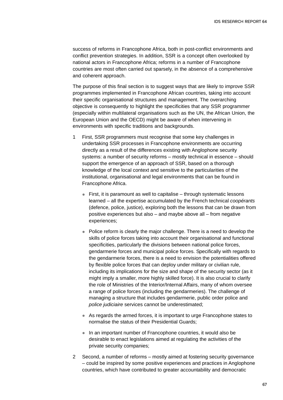success of reforms in Francophone Africa, both in post-conflict environments and conflict prevention strategies. In addition, SSR is a concept often overlooked by national actors in Francophone Africa; reforms in a number of Francophone countries are most often carried out sparsely, in the absence of a comprehensive and coherent approach.

The purpose of this final section is to suggest ways that are likely to improve SSR programmes implemented in Francophone African countries, taking into account their specific organisational structures and management. The overarching objective is consequently to highlight the specificities that any SSR programmer (especially within multilateral organisations such as the UN, the African Union, the European Union and the OECD) might be aware of when intervening in environments with specific traditions and backgrounds.

- 1 First, SSR programmers must recognise that some key challenges in undertaking SSR processes in Francophone environments are occurring directly as a result of the differences existing with Anglophone security systems: a number of security reforms – mostly technical in essence – should support the emergence of an approach of SSR, based on a thorough knowledge of the local context and sensitive to the particularities of the institutional, organisational and legal environments that can be found in Francophone Africa.
	- $\bullet$  First, it is paramount as well to capitalise through systematic lessons learned – all the expertise accumulated by the French technical *coopérants* (defence, police, justice), exploring both the lessons that can be drawn from positive experiences but also – and maybe above all – from negative experiences;
	- $\bullet$  Police reform is clearly the major challenge. There is a need to develop the skills of police forces taking into account their organisational and functional specificities, particularly the divisions between national police forces, gendarmerie forces and municipal police forces. Specifically with regards to the gendarmerie forces, there is a need to envision the potentialities offered by flexible police forces that can deploy under military or civilian rule, including its implications for the size and shape of the security sector (as it might imply a smaller, more highly skilled force). It is also crucial to clarify the role of Ministries of the Interior/Internal Affairs, many of whom oversee a range of police forces (including the gendarmeries). The challenge of managing a structure that includes gendarmerie, public order police and *police judiciaire* services cannot be underestimated;
	- $\bullet$  As regards the armed forces, it is important to urge Francophone states to normalise the status of their Presidential Guards;
	- $\bullet$  In an important number of Francophone countries, it would also be desirable to enact legislations aimed at regulating the activities of the private security companies;
- 2 Second, a number of reforms mostly aimed at fostering security governance – could be inspired by some positive experiences and practices in Anglophone countries, which have contributed to greater accountability and democratic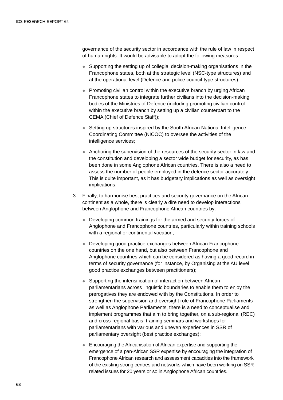governance of the security sector in accordance with the rule of law in respect of human rights. It would be advisable to adopt the following measures:

- $\bullet$  Supporting the setting up of collegial decision-making organisations in the Francophone states, both at the strategic level (NSC-type structures) and at the operational level (Defence and police council-type structures);
- $\bullet$  Promoting civilian control within the executive branch by urging African Francophone states to integrate further civilians into the decision-making bodies of the Ministries of Defence (including promoting civilian control within the executive branch by setting up a civilian counterpart to the CEMA (Chief of Defence Staff));
- Setting up structures inspired by the South African National Intelligence Coordinating Committee (NICOC) to oversee the activities of the intelligence services;
- $\bullet$  Anchoring the supervision of the resources of the security sector in law and the constitution and developing a sector wide budget for security, as has been done in some Anglophone African countries. There is also a need to assess the number of people employed in the defence sector accurately. This is quite important, as it has budgetary implications as well as oversight implications.
- 3 Finally, to harmonise best practices and security governance on the African continent as a whole, there is clearly a dire need to develop interactions between Anglophone and Francophone African countries by:
	- $\bullet$  Developing common trainings for the armed and security forces of Anglophone and Francophone countries, particularly within training schools with a regional or continental vocation;
	- Developing good practice exchanges between African Francophone countries on the one hand, but also between Francophone and Anglophone countries which can be considered as having a good record in terms of security governance (for instance, by Organising at the AU level good practice exchanges between practitioners);
	- Supporting the intensification of interaction between African parliamentarians across linguistic boundaries to enable them to enjoy the prerogatives they are endowed with by the Constitutions. In order to strengthen the supervision and oversight role of Francophone Parliaments as well as Anglophone Parliaments, there is a need to conceptualise and implement programmes that aim to bring together, on a sub-regional (REC) and cross-regional basis, training seminars and workshops for parliamentarians with various and uneven experiences in SSR of parliamentary oversight (best practice exchanges);
	- Encouraging the Africanisation of African expertise and supporting the emergence of a pan-African SSR expertise by encouraging the integration of Francophone African research and assessment capacities into the framework of the existing strong centres and networks which have been working on SSRrelated issues for 20 years or so in Anglophone African countries.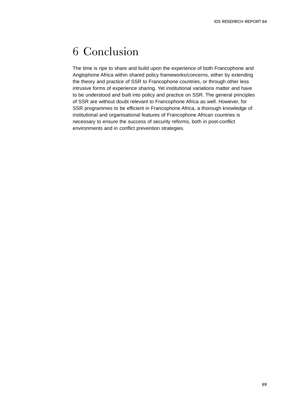## 6 Conclusion

The time is ripe to share and build upon the experience of both Francophone and Anglophone Africa within shared policy frameworks/concerns, either by extending the theory and practice of SSR to Francophone countries, or through other less intrusive forms of experience sharing. Yet institutional variations matter and have to be understood and built into policy and practice on SSR. The general principles of SSR are without doubt relevant to Francophone Africa as well. However, for SSR programmes to be efficient in Francophone Africa, a thorough knowledge of institutional and organisational features of Francophone African countries is necessary to ensure the success of security reforms, both in post-conflict environments and in conflict prevention strategies.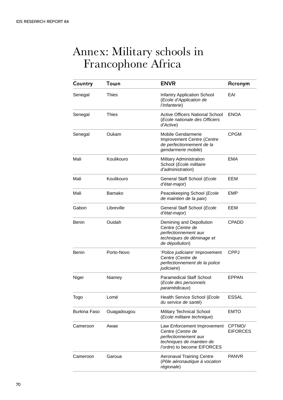# Annex: Military schools in Francophone Africa

| Country             | Town        | <b>ENVR</b>                                                                                                                          | Acronym                   |
|---------------------|-------------|--------------------------------------------------------------------------------------------------------------------------------------|---------------------------|
| Senegal             | Thies       | <b>Infantry Application School</b><br>(Ecole d'Application de<br>l'Infanterie)                                                       | EAI                       |
| Senegal             | Thies       | <b>Active Officers National School</b><br>(Ecole nationale des Officiers<br>d'Active)                                                | <b>ENOA</b>               |
| Senegal             | Oukam       | Mobile Gendarmerie<br>Improvement Centre (Centre<br>de perfectionnement de la<br>gendarmerie mobile)                                 | <b>CPGM</b>               |
| Mali                | Koulikouro  | Military Administration<br>School (Ecole militaire<br>d'administration)                                                              | <b>EMA</b>                |
| Mali                | Koulikouro  | General Staff School (Ecole<br>d'état-major)                                                                                         | EEM                       |
| Mali                | Bamako      | Peacekeeping School (Ecole<br>de maintien de la paix)                                                                                | EMP                       |
| Gabon               | Libreville  | General Staff School (Ecole<br>d'état-major)                                                                                         | EEM                       |
| <b>Benin</b>        | Ouidah      | Demining and Depollution<br>Centre (Centre de<br>perfectionnement aux<br>techniques de déminage et<br>de dépollution)                | <b>CPADD</b>              |
| Benin               | Porto-Novo  | 'Police judiciaire' Improvement<br>Centre (Centre de<br>perfectionnement de la police<br>judiciaire)                                 | <b>CPPJ</b>               |
| Niger               | Niamey      | <b>Paramedical Staff School</b><br>(Ecole des personnels<br>paramédicaux)                                                            | <b>EPPAN</b>              |
| Togo                | Lomé        | Health Service School (Ecole<br>du service de santé)                                                                                 | ESSAL                     |
| <b>Burkina Faso</b> | Ouagadougou | Military Technical School<br>(Ecole militaire technique)                                                                             | <b>EMTO</b>               |
| Cameroon            | Awae        | Law Enforcement Improvement<br>Centre (Centre de<br>perfectionnement aux<br>techniques de maintien de<br>l'ordre) to become EIFORCES | CPTMO/<br><b>EIFORCES</b> |
| Cameroon            | Garoua      | <b>Aeronaval Training Centre</b><br>(Pôle aéronautique à vocation<br>régionale)                                                      | <b>PANVR</b>              |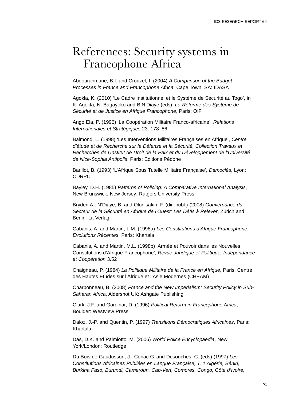## References: Security systems in Francophone Africa

Abdourahmane, B.I. and Crouzel, I. (2004) *A Comparison of the Budget Processes in France and Francophone Africa*, Cape Town, SA: IDASA

Agokla, K. (2010) 'Le Cadre Institutionnel et le Système de Sécurité au Togo', in K. Agokla, N. Bagayoko and B.N'Diaye (eds), *La Réforme des Système de Sécurité et de Justice en Afrique Francophone*, Paris: OIF

Ango Ela, P. (1996) 'La Coopération Militaire Franco-africaine', *Relations Internationales et Stratégiques* 23: 178–86

Balmond, L. (1998) 'Les Interventions Militaires Françaises en Afrique', *Centre d'étude et de Recherche sur la Défense et la Sécurité, Collection Travaux et Recherches de l'Institut de Droit de la Paix et du Développement de l'Université de Nice-Sophia Antipolis*, Paris: Editions Pédone

Barillot, B. (1993) 'L'Afrique Sous Tutelle Militaire Française', *Damoclès*, Lyon: CDRPC

Bayley, D.H. (1985) *Patterns of Policing: A Comparative International Analysis*, New Brunswick, New Jersey: Rutgers University Press

Bryden A.; N'Diaye, B. and Olonisakin, F. (dir. publ.) (2008) *Gouvernance du Secteur de la Sécurité en Afrique de l'Ouest: Les Défis à Relever*, Zürich and Berlin: Lit Verlag

Cabanis, A. and Martin, L.M. (1998a) *Les Constitutions d'Afrique Francophone: Evolutions Récentes*, Paris: Khartala

Cabanis, A. and Martin, M.L. (1998b) 'Armée et Pouvoir dans les Nouvelles Constitutions d'Afrique Francophone', *Revue Juridique et Politique, Indépendance et Coopération* 3.52

Chaigneau, P. (1984) *La Politique Militaire de la France en Afrique*, Paris: Centre des Hautes Etudes sur l'Afrique et l'Asie Modernes (CHEAM)

Charbonneau, B. (2008) *France and the New Imperialism: Security Policy in Sub-Saharan Africa*, Aldershot UK: Ashgate Publishing

Clark, J.F. and Gardinar, D. (1996) *Political Reform in Francophone Africa*, Boulder: Westview Press

Daloz, J.-P. and Quentin, P. (1997) *Transitions Démocratiques Africaines*, Paris: Khartala

Das, D.K. and Palmiotto, M. (2006) *World Police Encyclopaedia*, New York/London: Routledge

Du Bois de Gaudusson, J.; Conac G. and Desouches, C. (eds) (1997) *Les Constitutions Africaines Publiées en Langue Française, T. 1 Algérie, Bénin, Burkina Faso, Burundi, Cameroun, Cap-Vert, Comores, Congo, Côte d'Ivoire,*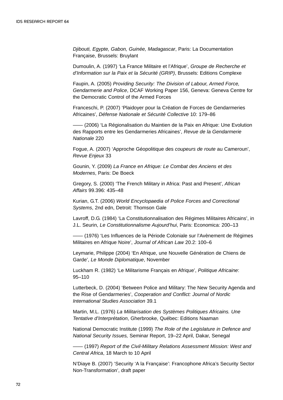*Djibouti, Egypte, Gabon, Guinée, Madagascar*, Paris: La Documentation Française, Brussels: Bruylant

Dumoulin, A. (1997) 'La France Militaire et l'Afrique', *Groupe de Recherche et d'Information sur la Paix et la Sécurité (GRIP)*, Brussels: Editions Complexe

Faupin, A. (2005) *Providing Security: The Division of Labour, Armed Force, Gendarmerie and Police*, DCAF Working Paper 156, Geneva: Geneva Centre for the Democratic Control of the Armed Forces

Franceschi, P. (2007) 'Plaidoyer pour la Création de Forces de Gendarmeries Africaines', *Défense Nationale et Sécurité Collective* 10: 179–86

—— (2006) 'La Régionalisation du Maintien de la Paix en Afrique: Une Evolution des Rapports entre les Gendarmeries Africaines', *Revue de la Gendarmerie Nationale* 220

Fogue, A. (2007) 'Approche Géopolitique des *coupeurs de route* au Cameroun', *Revue Enjeux* 33

Gounin, Y. (2009) *La France en Afrique: Le Combat des Anciens et des Modernes*, Paris: De Boeck

Gregory, S. (2000) 'The French Military in Africa: Past and Present', *African Affairs* 99.396: 435–48

Kurian, G.T. (2006) *World Encyclopaedia of Police Forces and Correctional Systems*, 2nd edn, Detroit: Thomson Gale

Lavroff, D.G. (1984) 'La Constitutionnalisation des Régimes Militaires Africains', in J.L. Seurin, *Le Constitutionnalisme Aujourd'hui*, Paris: Economica: 200–13

—— (1976) 'Les Influences de la Période Coloniale sur l'Avènement de Régimes Militaires en Afrique Noire', *Journal of African Law* 20.2: 100–6

Leymarie, Philippe (2004) 'En Afrique, une Nouvelle Génération de Chiens de Garde', *Le Monde Diplomatique*, November

Luckham R. (1982) 'Le Militarisme Français en Afrique', *Politique Africaine*: 95–110

Lutterbeck, D. (2004) 'Between Police and Military: The New Security Agenda and the Rise of Gendarmeries', *Cooperation and Conflict: Journal of Nordic International Studies Association* 39.1

Martin, M.L. (1976) *La Militarisation des Systèmes Politiques Africains. Une Tentative d'Interprétation*, Gherbrooke, Québec: Editions Naaman

National Democratic Institute (1999) *The Role of the Legislature in Defence and National Security Issues,* Seminar Report, 19–22 April, Dakar, Senegal

—— (1997) *Report of the Civil-Military Relations Assessment Mission: West and Central Africa*, 18 March to 10 April

N'Diaye B. (2007) 'Security 'A la Française': Francophone Africa's Security Sector Non-Transformation', draft paper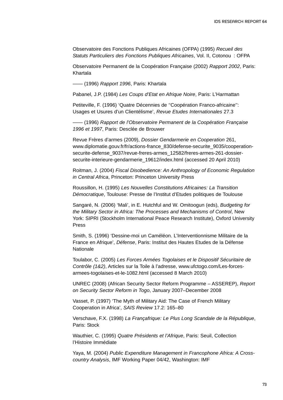Observatoire des Fonctions Publiques Africaines (OFPA) (1995) *Recueil des Statuts Particuliers des Fonctions Publiques Africaines*, Vol. II, Cotonou : OFPA

Observatoire Permanent de la Coopération Française (2002) *Rapport 2002*, Paris: Khartala

—— (1996) *Rapport 1996*, Paris: Khartala

Pabanel, J.P. (1984) *Les Coups d'Etat en Afrique Noire*, Paris: L'Harmattan

Petiteville, F. (1996) 'Quatre Décennies de ''Coopération Franco-africaine'': Usages et Usures d'un Clientélisme', *Revue Etudes Internationales* 27.3

—— (1996) *Rapport de l'Observatoire Permanent de la Coopération Française 1996 et 1997*, Paris: Desclée de Brouwer

Revue Frères d'armes (2009), *Dossier Gendarmerie en Cooperation* 261, www.diplomatie.gouv.fr/fr/actions-france\_830/defense-securite\_9035/cooperationsecurite-defense\_9037/revue-freres-armes\_12582/freres-armes-261-dossiersecurite-interieure-gendarmerie\_19612/index.html (accessed 20 April 2010)

Roitman, J. (2004) *Fiscal Disobedience: An Anthropology of Economic Regulation in Central Africa*, Princeton: Princeton University Press

Roussillon, H. (1995) *Les Nouvelles Constitutions Africaines: La Transition Démocratique*, Toulouse: Presse de l'Institut d'Etudes politiques de Toulouse

Sangaré, N. (2006) 'Mali', in E. Hutchful and W. Omitoogun (eds), *Budgeting for the Military Sector in Africa: The Processes and Mechanisms of Control*, New York: SIPRI (Stockholm International Peace Research Institute), Oxford University Press

Smith, S. (1996) 'Dessine-moi un Caméléon. L'Interventionnisme Militaire de la France en Afrique', *Défense*, Paris: Institut des Hautes Etudes de la Défense **Nationale** 

Toulabor, C. (2005) *Les Forces Armées Togolaises et le Dispositif Sécuritaire de Contrôle (1&2)*, Articles sur la Toile à l'adresse, www.ufctogo.com/Les-forcesarmees-togolaises-et-le-1082.html (accessed 8 March 2010)

UNREC (2008) (African Security Sector Reform Programme – ASSEREP), *Report on Security Sector Reform in Togo*, January 2007–December 2008

Vasset, P. (1997) 'The Myth of Military Aid: The Case of French Military Cooperation in Africa', *SAIS Review* 17.2: 165–80

Verschave, F.X. (1998) *La Françafrique: Le Plus Long Scandale de la République*, Paris: Stock

Wauthier, C. (1995) *Quatre Présidents et l'Afrique*, Paris: Seuil, Collection l'Histoire Immédiate

Yaya, M. (2004) *Public Expenditure Management in Francophone Africa: A Crosscountry Analysis*, IMF Working Paper 04/42, Washington: IMF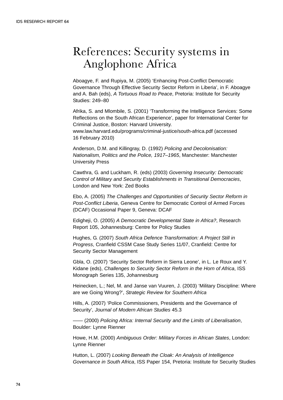## References: Security systems in Anglophone Africa

Aboagye, F. and Rupiya, M. (2005) 'Enhancing Post-Conflict Democratic Governance Through Effective Security Sector Reform in Liberia', in F. Aboagye and A. Bah (eds), *A Tortuous Road to Peace*, Pretoria: Institute for Security Studies: 249–80

Afrika, S. and Mlombile, S. (2001) 'Transforming the Intelligence Services: Some Reflections on the South African Experience', paper for International Center for Criminal Justice, Boston: Harvard University. www.law.harvard.edu/programs/criminal-justice/south-africa.pdf (accessed 16 February 2010)

Anderson, D.M. and Killingray, D. (1992) *Policing and Decolonisation: Nationalism, Politics and the Police, 1917–1965*, Manchester: Manchester University Press

Cawthra, G. and Luckham, R. (eds) (2003) *Governing Insecurity: Democratic Control of Military and Security Establishments in Transitional Democracies*, London and New York: Zed Books

Ebo, A. (2005) *The Challenges and Opportunities of Security Sector Reform in Post-Conflict Liberia*, Geneva Centre for Democratic Control of Armed Forces (DCAF) Occasional Paper 9, Geneva: DCAF

Edigheji, O. (2005) *A Democratic Developmental State in Africa?*, Research Report 105, Johannesburg: Centre for Policy Studies

Hughes, G. (2007) *South Africa Defence Transformation: A Project Still in Progress*, Cranfield CSSM Case Study Series 11/07, Cranfield: Centre for Security Sector Management

Gbla, O. (2007) 'Security Sector Reform in Sierra Leone', in L. Le Roux and Y. Kidane (eds), *Challenges to Security Sector Reform in the Horn of Africa*, ISS Monograph Series 135, Johannesburg

Heinecken, L.; Nel, M. and Janse van Vuuren, J. (2003) 'Military Discipline: Where are we Going Wrong?', *Strategic Review for Southern Africa*

Hills, A. (2007) 'Police Commissioners, Presidents and the Governance of Security', *Journal of Modern African Studies* 45.3

—— (2000) *Policing Africa: Internal Security and the Limits of Liberalisation*, Boulder: Lynne Rienner

Howe, H.M. (2000) *Ambiguous Order: Military Forces in African States*, London: Lynne Rienner

Hutton, L. (2007) *Looking Beneath the Cloak: An Analysis of Intelligence Governance in South Africa*, ISS Paper 154, Pretoria: Institute for Security Studies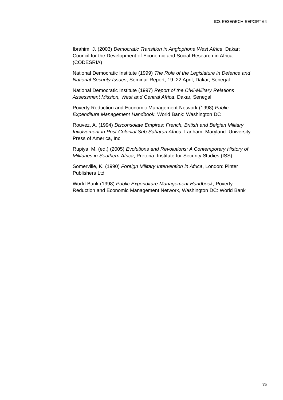Ibrahim, J. (2003) *Democratic Transition in Anglophone West Africa*, Dakar: Council for the Development of Economic and Social Research in Africa (CODESRIA)

National Democratic Institute (1999) *The Role of the Legislature in Defence and National Security Issues*, Seminar Report, 19–22 April, Dakar, Senegal

National Democratic Institute (1997) *Report of the Civil-Military Relations Assessment Mission, West and Central Africa*, Dakar, Senegal

Poverty Reduction and Economic Management Network (1998) *Public Expenditure Management Handbook*, World Bank: Washington DC

Rouvez, A. (1994) *Disconsolate Empires: French, British and Belgian Military Involvement in Post-Colonial Sub-Saharan Africa*, Lanham, Maryland: University Press of America, Inc.

Rupiya, M. (ed.) (2005) *Evolutions and Revolutions: A Contemporary History of Militaries in Southern Africa*, Pretoria: Institute for Security Studies (ISS)

Somerville, K. (1990) *Foreign Military Intervention in Africa*, London: Pinter Publishers Ltd

World Bank (1998) *Public Expenditure Management Handbook*, Poverty Reduction and Economic Management Network, Washington DC: World Bank